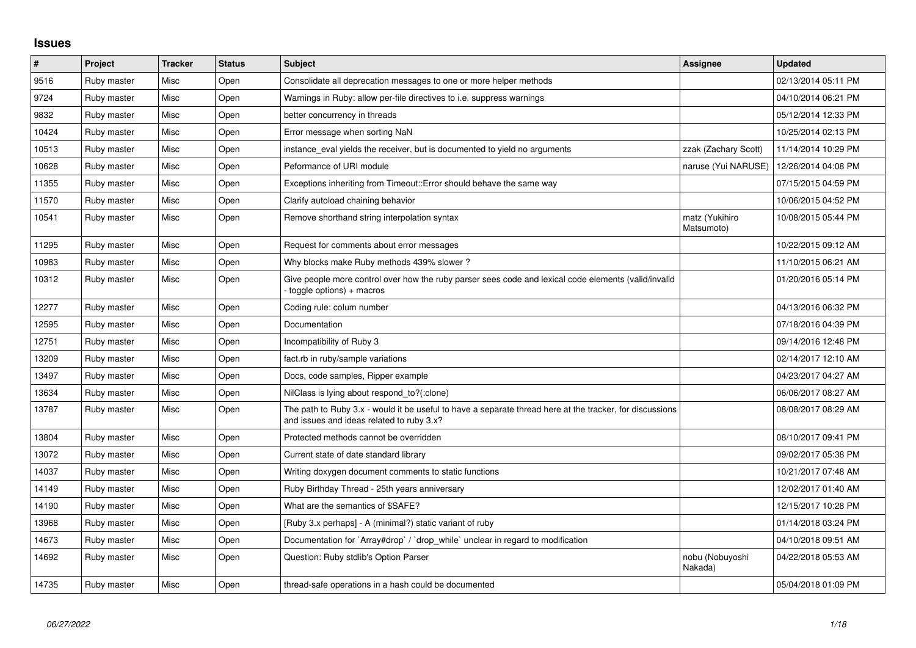## **Issues**

| $\sharp$ | Project     | <b>Tracker</b> | <b>Status</b> | <b>Subject</b>                                                                                                                                        | <b>Assignee</b>              | <b>Updated</b>      |
|----------|-------------|----------------|---------------|-------------------------------------------------------------------------------------------------------------------------------------------------------|------------------------------|---------------------|
| 9516     | Ruby master | Misc           | Open          | Consolidate all deprecation messages to one or more helper methods                                                                                    |                              | 02/13/2014 05:11 PM |
| 9724     | Ruby master | Misc           | Open          | Warnings in Ruby: allow per-file directives to i.e. suppress warnings                                                                                 |                              | 04/10/2014 06:21 PM |
| 9832     | Ruby master | Misc           | Open          | better concurrency in threads                                                                                                                         |                              | 05/12/2014 12:33 PM |
| 10424    | Ruby master | Misc           | Open          | Error message when sorting NaN                                                                                                                        |                              | 10/25/2014 02:13 PM |
| 10513    | Ruby master | Misc           | Open          | instance_eval yields the receiver, but is documented to yield no arguments                                                                            | zzak (Zachary Scott)         | 11/14/2014 10:29 PM |
| 10628    | Ruby master | <b>Misc</b>    | Open          | Peformance of URI module                                                                                                                              | naruse (Yui NARUSE)          | 12/26/2014 04:08 PM |
| 11355    | Ruby master | Misc           | Open          | Exceptions inheriting from Timeout::Error should behave the same way                                                                                  |                              | 07/15/2015 04:59 PM |
| 11570    | Ruby master | Misc           | Open          | Clarify autoload chaining behavior                                                                                                                    |                              | 10/06/2015 04:52 PM |
| 10541    | Ruby master | Misc           | Open          | Remove shorthand string interpolation syntax                                                                                                          | matz (Yukihiro<br>Matsumoto) | 10/08/2015 05:44 PM |
| 11295    | Ruby master | <b>Misc</b>    | Open          | Request for comments about error messages                                                                                                             |                              | 10/22/2015 09:12 AM |
| 10983    | Ruby master | Misc           | Open          | Why blocks make Ruby methods 439% slower?                                                                                                             |                              | 11/10/2015 06:21 AM |
| 10312    | Ruby master | Misc           | Open          | Give people more control over how the ruby parser sees code and lexical code elements (valid/invalid<br>toggle options) + macros                      |                              | 01/20/2016 05:14 PM |
| 12277    | Ruby master | Misc           | Open          | Coding rule: colum number                                                                                                                             |                              | 04/13/2016 06:32 PM |
| 12595    | Ruby master | Misc           | Open          | Documentation                                                                                                                                         |                              | 07/18/2016 04:39 PM |
| 12751    | Ruby master | <b>Misc</b>    | Open          | Incompatibility of Ruby 3                                                                                                                             |                              | 09/14/2016 12:48 PM |
| 13209    | Ruby master | Misc           | Open          | fact.rb in ruby/sample variations                                                                                                                     |                              | 02/14/2017 12:10 AM |
| 13497    | Ruby master | Misc           | Open          | Docs, code samples, Ripper example                                                                                                                    |                              | 04/23/2017 04:27 AM |
| 13634    | Ruby master | Misc           | Open          | NilClass is lying about respond to?(:clone)                                                                                                           |                              | 06/06/2017 08:27 AM |
| 13787    | Ruby master | <b>Misc</b>    | Open          | The path to Ruby 3.x - would it be useful to have a separate thread here at the tracker, for discussions<br>and issues and ideas related to ruby 3.x? |                              | 08/08/2017 08:29 AM |
| 13804    | Ruby master | <b>Misc</b>    | Open          | Protected methods cannot be overridden                                                                                                                |                              | 08/10/2017 09:41 PM |
| 13072    | Ruby master | Misc           | Open          | Current state of date standard library                                                                                                                |                              | 09/02/2017 05:38 PM |
| 14037    | Ruby master | Misc           | Open          | Writing doxygen document comments to static functions                                                                                                 |                              | 10/21/2017 07:48 AM |
| 14149    | Ruby master | Misc           | Open          | Ruby Birthday Thread - 25th years anniversary                                                                                                         |                              | 12/02/2017 01:40 AM |
| 14190    | Ruby master | <b>Misc</b>    | Open          | What are the semantics of \$SAFE?                                                                                                                     |                              | 12/15/2017 10:28 PM |
| 13968    | Ruby master | Misc           | Open          | [Ruby 3.x perhaps] - A (minimal?) static variant of ruby                                                                                              |                              | 01/14/2018 03:24 PM |
| 14673    | Ruby master | Misc           | Open          | Documentation for `Array#drop` / `drop_while` unclear in regard to modification                                                                       |                              | 04/10/2018 09:51 AM |
| 14692    | Ruby master | Misc           | Open          | Question: Ruby stdlib's Option Parser                                                                                                                 | nobu (Nobuyoshi<br>Nakada)   | 04/22/2018 05:53 AM |
| 14735    | Ruby master | <b>Misc</b>    | Open          | thread-safe operations in a hash could be documented                                                                                                  |                              | 05/04/2018 01:09 PM |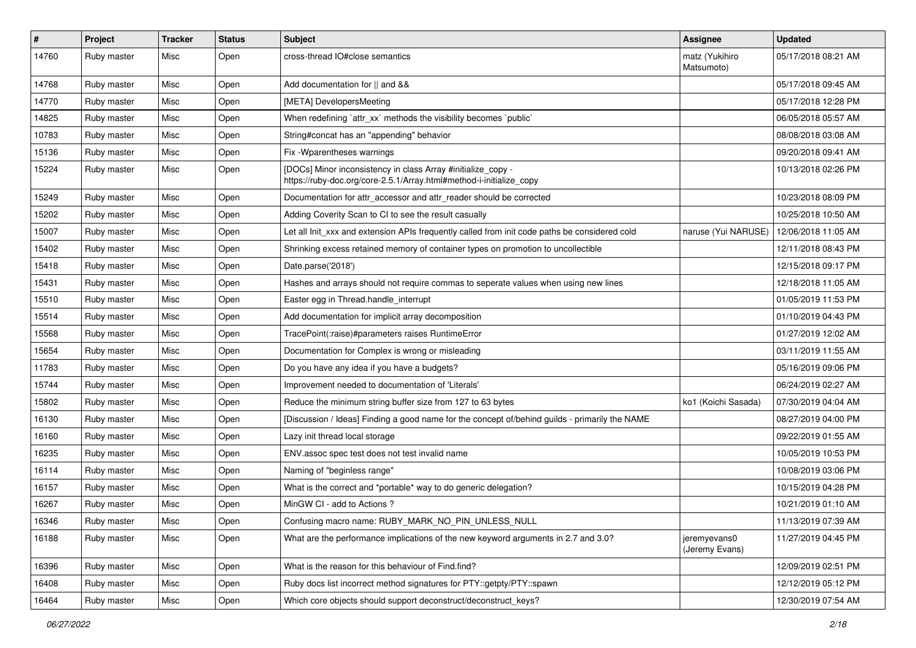| $\sharp$ | Project     | Tracker | <b>Status</b> | <b>Subject</b>                                                                                                                      | <b>Assignee</b>                           | <b>Updated</b>      |
|----------|-------------|---------|---------------|-------------------------------------------------------------------------------------------------------------------------------------|-------------------------------------------|---------------------|
| 14760    | Ruby master | Misc    | Open          | cross-thread IO#close semantics                                                                                                     | matz (Yukihiro<br>Matsumoto)              | 05/17/2018 08:21 AM |
| 14768    | Ruby master | Misc    | Open          | Add documentation for    and &&                                                                                                     |                                           | 05/17/2018 09:45 AM |
| 14770    | Ruby master | Misc    | Open          | [META] DevelopersMeeting                                                                                                            |                                           | 05/17/2018 12:28 PM |
| 14825    | Ruby master | Misc    | Open          | When redefining 'attr_xx' methods the visibility becomes 'public'                                                                   |                                           | 06/05/2018 05:57 AM |
| 10783    | Ruby master | Misc    | Open          | String#concat has an "appending" behavior                                                                                           |                                           | 08/08/2018 03:08 AM |
| 15136    | Ruby master | Misc    | Open          | Fix - Wparentheses warnings                                                                                                         |                                           | 09/20/2018 09:41 AM |
| 15224    | Ruby master | Misc    | Open          | [DOCs] Minor inconsistency in class Array #initialize_copy -<br>https://ruby-doc.org/core-2.5.1/Array.html#method-i-initialize_copy |                                           | 10/13/2018 02:26 PM |
| 15249    | Ruby master | Misc    | Open          | Documentation for attr_accessor and attr_reader should be corrected                                                                 |                                           | 10/23/2018 08:09 PM |
| 15202    | Ruby master | Misc    | Open          | Adding Coverity Scan to CI to see the result casually                                                                               |                                           | 10/25/2018 10:50 AM |
| 15007    | Ruby master | Misc    | Open          | Let all Init_xxx and extension APIs frequently called from init code paths be considered cold                                       | naruse (Yui NARUSE)   12/06/2018 11:05 AM |                     |
| 15402    | Ruby master | Misc    | Open          | Shrinking excess retained memory of container types on promotion to uncollectible                                                   |                                           | 12/11/2018 08:43 PM |
| 15418    | Ruby master | Misc    | Open          | Date.parse('2018')                                                                                                                  |                                           | 12/15/2018 09:17 PM |
| 15431    | Ruby master | Misc    | Open          | Hashes and arrays should not require commas to seperate values when using new lines                                                 |                                           | 12/18/2018 11:05 AM |
| 15510    | Ruby master | Misc    | Open          | Easter egg in Thread.handle interrupt                                                                                               |                                           | 01/05/2019 11:53 PM |
| 15514    | Ruby master | Misc    | Open          | Add documentation for implicit array decomposition                                                                                  |                                           | 01/10/2019 04:43 PM |
| 15568    | Ruby master | Misc    | Open          | TracePoint(:raise)#parameters raises RuntimeError                                                                                   |                                           | 01/27/2019 12:02 AM |
| 15654    | Ruby master | Misc    | Open          | Documentation for Complex is wrong or misleading                                                                                    |                                           | 03/11/2019 11:55 AM |
| 11783    | Ruby master | Misc    | Open          | Do you have any idea if you have a budgets?                                                                                         |                                           | 05/16/2019 09:06 PM |
| 15744    | Ruby master | Misc    | Open          | Improvement needed to documentation of 'Literals'                                                                                   |                                           | 06/24/2019 02:27 AM |
| 15802    | Ruby master | Misc    | Open          | Reduce the minimum string buffer size from 127 to 63 bytes                                                                          | ko1 (Koichi Sasada)                       | 07/30/2019 04:04 AM |
| 16130    | Ruby master | Misc    | Open          | [Discussion / Ideas] Finding a good name for the concept of/behind guilds - primarily the NAME                                      |                                           | 08/27/2019 04:00 PM |
| 16160    | Ruby master | Misc    | Open          | Lazy init thread local storage                                                                                                      |                                           | 09/22/2019 01:55 AM |
| 16235    | Ruby master | Misc    | Open          | ENV.assoc spec test does not test invalid name                                                                                      |                                           | 10/05/2019 10:53 PM |
| 16114    | Ruby master | Misc    | Open          | Naming of "beginless range"                                                                                                         |                                           | 10/08/2019 03:06 PM |
| 16157    | Ruby master | Misc    | Open          | What is the correct and *portable* way to do generic delegation?                                                                    |                                           | 10/15/2019 04:28 PM |
| 16267    | Ruby master | Misc    | Open          | MinGW CI - add to Actions ?                                                                                                         |                                           | 10/21/2019 01:10 AM |
| 16346    | Ruby master | Misc    | Open          | Confusing macro name: RUBY_MARK_NO_PIN_UNLESS_NULL                                                                                  |                                           | 11/13/2019 07:39 AM |
| 16188    | Ruby master | Misc    | Open          | What are the performance implications of the new keyword arguments in 2.7 and 3.0?                                                  | jeremyevans0<br>(Jeremy Evans)            | 11/27/2019 04:45 PM |
| 16396    | Ruby master | Misc    | Open          | What is the reason for this behaviour of Find.find?                                                                                 |                                           | 12/09/2019 02:51 PM |
| 16408    | Ruby master | Misc    | Open          | Ruby docs list incorrect method signatures for PTY::getpty/PTY::spawn                                                               |                                           | 12/12/2019 05:12 PM |
| 16464    | Ruby master | Misc    | Open          | Which core objects should support deconstruct/deconstruct_keys?                                                                     |                                           | 12/30/2019 07:54 AM |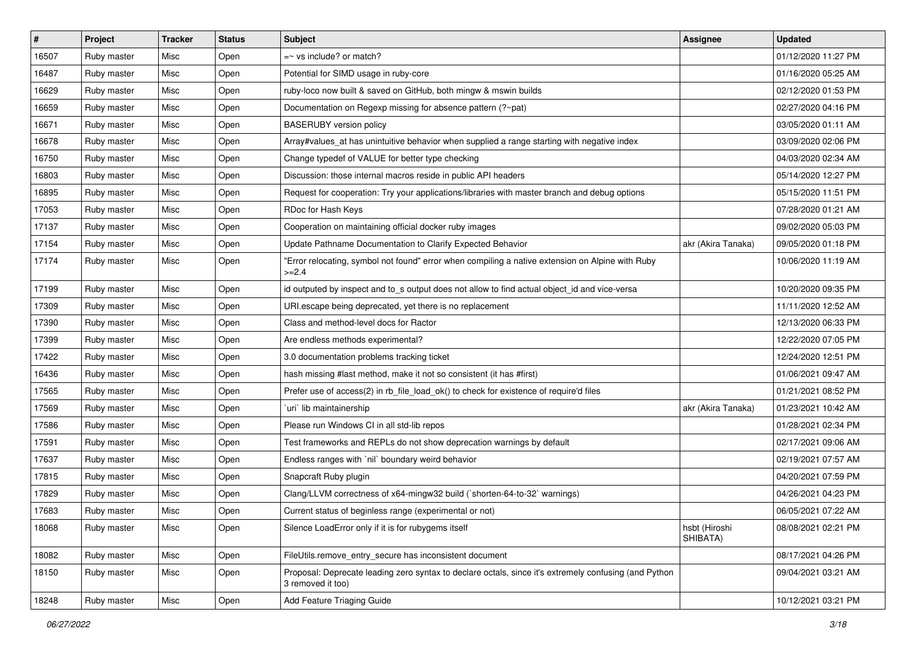| $\vert$ # | Project     | <b>Tracker</b> | <b>Status</b> | <b>Subject</b>                                                                                                             | Assignee                  | <b>Updated</b>      |
|-----------|-------------|----------------|---------------|----------------------------------------------------------------------------------------------------------------------------|---------------------------|---------------------|
| 16507     | Ruby master | Misc           | Open          | $=$ vs include? or match?                                                                                                  |                           | 01/12/2020 11:27 PM |
| 16487     | Ruby master | Misc           | Open          | Potential for SIMD usage in ruby-core                                                                                      |                           | 01/16/2020 05:25 AM |
| 16629     | Ruby master | Misc           | Open          | ruby-loco now built & saved on GitHub, both mingw & mswin builds                                                           |                           | 02/12/2020 01:53 PM |
| 16659     | Ruby master | Misc           | Open          | Documentation on Regexp missing for absence pattern (?~pat)                                                                |                           | 02/27/2020 04:16 PM |
| 16671     | Ruby master | Misc           | Open          | <b>BASERUBY</b> version policy                                                                                             |                           | 03/05/2020 01:11 AM |
| 16678     | Ruby master | Misc           | Open          | Array#values_at has unintuitive behavior when supplied a range starting with negative index                                |                           | 03/09/2020 02:06 PM |
| 16750     | Ruby master | Misc           | Open          | Change typedef of VALUE for better type checking                                                                           |                           | 04/03/2020 02:34 AM |
| 16803     | Ruby master | Misc           | Open          | Discussion: those internal macros reside in public API headers                                                             |                           | 05/14/2020 12:27 PM |
| 16895     | Ruby master | Misc           | Open          | Request for cooperation: Try your applications/libraries with master branch and debug options                              |                           | 05/15/2020 11:51 PM |
| 17053     | Ruby master | Misc           | Open          | RDoc for Hash Keys                                                                                                         |                           | 07/28/2020 01:21 AM |
| 17137     | Ruby master | Misc           | Open          | Cooperation on maintaining official docker ruby images                                                                     |                           | 09/02/2020 05:03 PM |
| 17154     | Ruby master | Misc           | Open          | Update Pathname Documentation to Clarify Expected Behavior                                                                 | akr (Akira Tanaka)        | 09/05/2020 01:18 PM |
| 17174     | Ruby master | Misc           | Open          | "Error relocating, symbol not found" error when compiling a native extension on Alpine with Ruby<br>$>=2.4$                |                           | 10/06/2020 11:19 AM |
| 17199     | Ruby master | Misc           | Open          | id outputed by inspect and to_s output does not allow to find actual object_id and vice-versa                              |                           | 10/20/2020 09:35 PM |
| 17309     | Ruby master | Misc           | Open          | URI.escape being deprecated, yet there is no replacement                                                                   |                           | 11/11/2020 12:52 AM |
| 17390     | Ruby master | Misc           | Open          | Class and method-level docs for Ractor                                                                                     |                           | 12/13/2020 06:33 PM |
| 17399     | Ruby master | Misc           | Open          | Are endless methods experimental?                                                                                          |                           | 12/22/2020 07:05 PM |
| 17422     | Ruby master | Misc           | Open          | 3.0 documentation problems tracking ticket                                                                                 |                           | 12/24/2020 12:51 PM |
| 16436     | Ruby master | Misc           | Open          | hash missing #last method, make it not so consistent (it has #first)                                                       |                           | 01/06/2021 09:47 AM |
| 17565     | Ruby master | Misc           | Open          | Prefer use of access(2) in rb_file_load_ok() to check for existence of require'd files                                     |                           | 01/21/2021 08:52 PM |
| 17569     | Ruby master | Misc           | Open          | uri lib maintainership                                                                                                     | akr (Akira Tanaka)        | 01/23/2021 10:42 AM |
| 17586     | Ruby master | Misc           | Open          | Please run Windows CI in all std-lib repos                                                                                 |                           | 01/28/2021 02:34 PM |
| 17591     | Ruby master | Misc           | Open          | Test frameworks and REPLs do not show deprecation warnings by default                                                      |                           | 02/17/2021 09:06 AM |
| 17637     | Ruby master | Misc           | Open          | Endless ranges with 'nil' boundary weird behavior                                                                          |                           | 02/19/2021 07:57 AM |
| 17815     | Ruby master | Misc           | Open          | Snapcraft Ruby plugin                                                                                                      |                           | 04/20/2021 07:59 PM |
| 17829     | Ruby master | Misc           | Open          | Clang/LLVM correctness of x64-mingw32 build (`shorten-64-to-32` warnings)                                                  |                           | 04/26/2021 04:23 PM |
| 17683     | Ruby master | Misc           | Open          | Current status of beginless range (experimental or not)                                                                    |                           | 06/05/2021 07:22 AM |
| 18068     | Ruby master | Misc           | Open          | Silence LoadError only if it is for rubygems itself                                                                        | hsbt (Hiroshi<br>SHIBATA) | 08/08/2021 02:21 PM |
| 18082     | Ruby master | Misc           | Open          | FileUtils.remove_entry_secure has inconsistent document                                                                    |                           | 08/17/2021 04:26 PM |
| 18150     | Ruby master | Misc           | Open          | Proposal: Deprecate leading zero syntax to declare octals, since it's extremely confusing (and Python<br>3 removed it too) |                           | 09/04/2021 03:21 AM |
| 18248     | Ruby master | Misc           | Open          | Add Feature Triaging Guide                                                                                                 |                           | 10/12/2021 03:21 PM |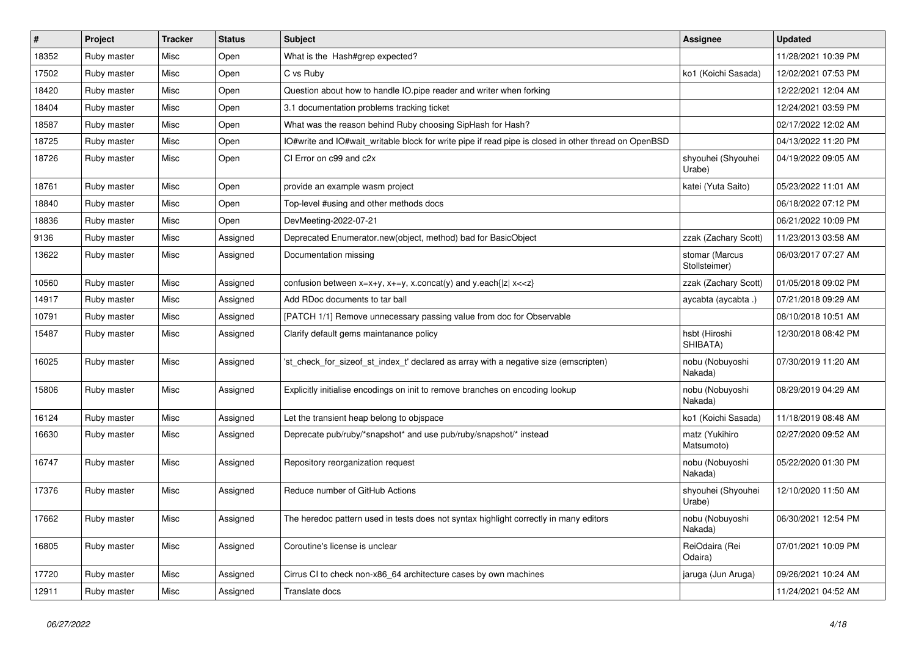| $\vert$ # | Project     | <b>Tracker</b> | <b>Status</b> | <b>Subject</b>                                                                                                                          | Assignee                        | <b>Updated</b>      |
|-----------|-------------|----------------|---------------|-----------------------------------------------------------------------------------------------------------------------------------------|---------------------------------|---------------------|
| 18352     | Ruby master | Misc           | Open          | What is the Hash#grep expected?                                                                                                         |                                 | 11/28/2021 10:39 PM |
| 17502     | Ruby master | Misc           | Open          | C vs Ruby                                                                                                                               | ko1 (Koichi Sasada)             | 12/02/2021 07:53 PM |
| 18420     | Ruby master | Misc           | Open          | Question about how to handle IO.pipe reader and writer when forking                                                                     |                                 | 12/22/2021 12:04 AM |
| 18404     | Ruby master | Misc           | Open          | 3.1 documentation problems tracking ticket                                                                                              |                                 | 12/24/2021 03:59 PM |
| 18587     | Ruby master | Misc           | Open          | What was the reason behind Ruby choosing SipHash for Hash?                                                                              |                                 | 02/17/2022 12:02 AM |
| 18725     | Ruby master | Misc           | Open          | IO#write and IO#wait writable block for write pipe if read pipe is closed in other thread on OpenBSD                                    |                                 | 04/13/2022 11:20 PM |
| 18726     | Ruby master | Misc           | Open          | CI Error on c99 and c2x                                                                                                                 | shyouhei (Shyouhei<br>Urabe)    | 04/19/2022 09:05 AM |
| 18761     | Ruby master | Misc           | Open          | provide an example wasm project                                                                                                         | katei (Yuta Saito)              | 05/23/2022 11:01 AM |
| 18840     | Ruby master | Misc           | Open          | Top-level #using and other methods docs                                                                                                 |                                 | 06/18/2022 07:12 PM |
| 18836     | Ruby master | Misc           | Open          | DevMeeting-2022-07-21                                                                                                                   |                                 | 06/21/2022 10:09 PM |
| 9136      | Ruby master | Misc           | Assigned      | Deprecated Enumerator.new(object, method) bad for BasicObject                                                                           | zzak (Zachary Scott)            | 11/23/2013 03:58 AM |
| 13622     | Ruby master | Misc           | Assigned      | Documentation missing                                                                                                                   | stomar (Marcus<br>Stollsteimer) | 06/03/2017 07:27 AM |
| 10560     | Ruby master | Misc           | Assigned      | confusion between x=x+y, x+=y, x.concat(y) and y.each{ z  x< <z}< td=""><td>zzak (Zachary Scott)</td><td>01/05/2018 09:02 PM</td></z}<> | zzak (Zachary Scott)            | 01/05/2018 09:02 PM |
| 14917     | Ruby master | Misc           | Assigned      | Add RDoc documents to tar ball                                                                                                          | aycabta (aycabta.)              | 07/21/2018 09:29 AM |
| 10791     | Ruby master | Misc           | Assigned      | [PATCH 1/1] Remove unnecessary passing value from doc for Observable                                                                    |                                 | 08/10/2018 10:51 AM |
| 15487     | Ruby master | Misc           | Assigned      | Clarify default gems maintanance policy                                                                                                 | hsbt (Hiroshi<br>SHIBATA)       | 12/30/2018 08:42 PM |
| 16025     | Ruby master | Misc           | Assigned      | 'st_check_for_sizeof_st_index_t' declared as array with a negative size (emscripten)                                                    | nobu (Nobuyoshi<br>Nakada)      | 07/30/2019 11:20 AM |
| 15806     | Ruby master | Misc           | Assigned      | Explicitly initialise encodings on init to remove branches on encoding lookup                                                           | nobu (Nobuyoshi<br>Nakada)      | 08/29/2019 04:29 AM |
| 16124     | Ruby master | Misc           | Assigned      | Let the transient heap belong to objspace                                                                                               | ko1 (Koichi Sasada)             | 11/18/2019 08:48 AM |
| 16630     | Ruby master | Misc           | Assigned      | Deprecate pub/ruby/*snapshot* and use pub/ruby/snapshot/* instead                                                                       | matz (Yukihiro<br>Matsumoto)    | 02/27/2020 09:52 AM |
| 16747     | Ruby master | Misc           | Assigned      | Repository reorganization request                                                                                                       | nobu (Nobuyoshi<br>Nakada)      | 05/22/2020 01:30 PM |
| 17376     | Ruby master | Misc           | Assigned      | Reduce number of GitHub Actions                                                                                                         | shyouhei (Shyouhei<br>Urabe)    | 12/10/2020 11:50 AM |
| 17662     | Ruby master | Misc           | Assigned      | The heredoc pattern used in tests does not syntax highlight correctly in many editors                                                   | nobu (Nobuyoshi<br>Nakada)      | 06/30/2021 12:54 PM |
| 16805     | Ruby master | Misc           | Assigned      | Coroutine's license is unclear                                                                                                          | ReiOdaira (Rei<br>Odaira)       | 07/01/2021 10:09 PM |
| 17720     | Ruby master | Misc           | Assigned      | Cirrus CI to check non-x86 64 architecture cases by own machines                                                                        | jaruga (Jun Aruga)              | 09/26/2021 10:24 AM |
| 12911     | Ruby master | Misc           | Assigned      | Translate docs                                                                                                                          |                                 | 11/24/2021 04:52 AM |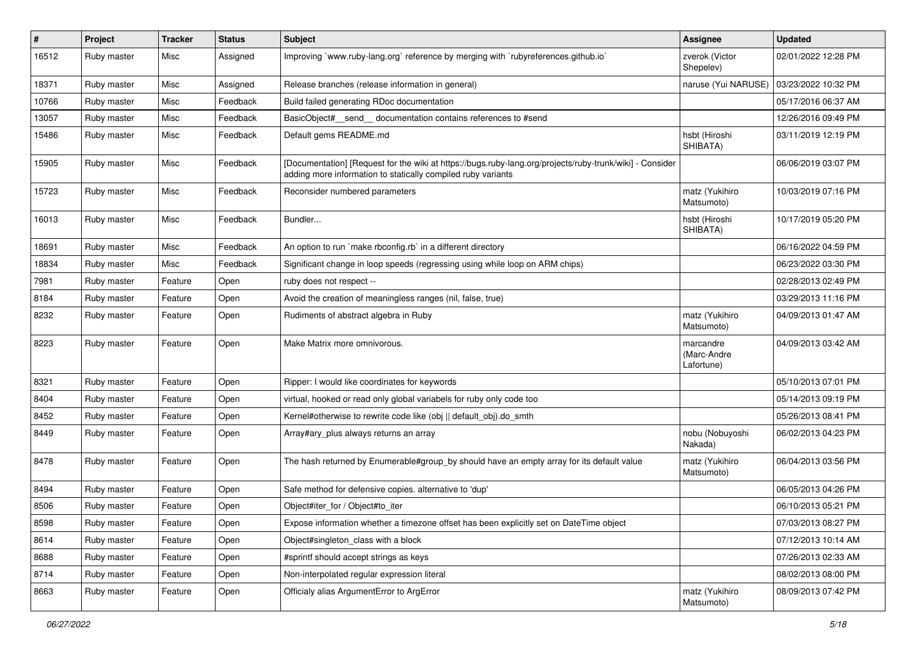| #     | Project     | <b>Tracker</b> | <b>Status</b> | Subject                                                                                                                                                                  | <b>Assignee</b>                        | <b>Updated</b>      |
|-------|-------------|----------------|---------------|--------------------------------------------------------------------------------------------------------------------------------------------------------------------------|----------------------------------------|---------------------|
| 16512 | Ruby master | Misc           | Assigned      | Improving `www.ruby-lang.org` reference by merging with `rubyreferences.github.io`                                                                                       | zverok (Victor<br>Shepelev)            | 02/01/2022 12:28 PM |
| 18371 | Ruby master | Misc           | Assigned      | Release branches (release information in general)                                                                                                                        | naruse (Yui NARUSE)                    | 03/23/2022 10:32 PM |
| 10766 | Ruby master | Misc           | Feedback      | Build failed generating RDoc documentation                                                                                                                               |                                        | 05/17/2016 06:37 AM |
| 13057 | Ruby master | Misc           | Feedback      | BasicObject#_send_ documentation contains references to #send                                                                                                            |                                        | 12/26/2016 09:49 PM |
| 15486 | Ruby master | Misc           | Feedback      | Default gems README.md                                                                                                                                                   | hsbt (Hiroshi<br>SHIBATA)              | 03/11/2019 12:19 PM |
| 15905 | Ruby master | Misc           | Feedback      | [Documentation] [Request for the wiki at https://bugs.ruby-lang.org/projects/ruby-trunk/wiki] - Consider<br>adding more information to statically compiled ruby variants |                                        | 06/06/2019 03:07 PM |
| 15723 | Ruby master | Misc           | Feedback      | Reconsider numbered parameters                                                                                                                                           | matz (Yukihiro<br>Matsumoto)           | 10/03/2019 07:16 PM |
| 16013 | Ruby master | Misc           | Feedback      | Bundler                                                                                                                                                                  | hsbt (Hiroshi<br>SHIBATA)              | 10/17/2019 05:20 PM |
| 18691 | Ruby master | Misc           | Feedback      | An option to run `make rbconfig.rb` in a different directory                                                                                                             |                                        | 06/16/2022 04:59 PM |
| 18834 | Ruby master | Misc           | Feedback      | Significant change in loop speeds (regressing using while loop on ARM chips)                                                                                             |                                        | 06/23/2022 03:30 PM |
| 7981  | Ruby master | Feature        | Open          | ruby does not respect --                                                                                                                                                 |                                        | 02/28/2013 02:49 PM |
| 8184  | Ruby master | Feature        | Open          | Avoid the creation of meaningless ranges (nil, false, true)                                                                                                              |                                        | 03/29/2013 11:16 PM |
| 8232  | Ruby master | Feature        | Open          | Rudiments of abstract algebra in Ruby                                                                                                                                    | matz (Yukihiro<br>Matsumoto)           | 04/09/2013 01:47 AM |
| 8223  | Ruby master | Feature        | Open          | Make Matrix more omnivorous.                                                                                                                                             | marcandre<br>(Marc-Andre<br>Lafortune) | 04/09/2013 03:42 AM |
| 8321  | Ruby master | Feature        | Open          | Ripper: I would like coordinates for keywords                                                                                                                            |                                        | 05/10/2013 07:01 PM |
| 8404  | Ruby master | Feature        | Open          | virtual, hooked or read only global variabels for ruby only code too                                                                                                     |                                        | 05/14/2013 09:19 PM |
| 8452  | Ruby master | Feature        | Open          | Kernel#otherwise to rewrite code like (obj    default_obj).do_smth                                                                                                       |                                        | 05/26/2013 08:41 PM |
| 8449  | Ruby master | Feature        | Open          | Array#ary_plus always returns an array                                                                                                                                   | nobu (Nobuyoshi<br>Nakada)             | 06/02/2013 04:23 PM |
| 8478  | Ruby master | Feature        | Open          | The hash returned by Enumerable#group_by should have an empty array for its default value                                                                                | matz (Yukihiro<br>Matsumoto)           | 06/04/2013 03:56 PM |
| 8494  | Ruby master | Feature        | Open          | Safe method for defensive copies. alternative to 'dup'                                                                                                                   |                                        | 06/05/2013 04:26 PM |
| 8506  | Ruby master | Feature        | Open          | Object#iter_for / Object#to_iter                                                                                                                                         |                                        | 06/10/2013 05:21 PM |
| 8598  | Ruby master | Feature        | Open          | Expose information whether a timezone offset has been explicitly set on DateTime object                                                                                  |                                        | 07/03/2013 08:27 PM |
| 8614  | Ruby master | Feature        | Open          | Object#singleton class with a block                                                                                                                                      |                                        | 07/12/2013 10:14 AM |
| 8688  | Ruby master | Feature        | Open          | #sprintf should accept strings as keys                                                                                                                                   |                                        | 07/26/2013 02:33 AM |
| 8714  | Ruby master | Feature        | Open          | Non-interpolated regular expression literal                                                                                                                              |                                        | 08/02/2013 08:00 PM |
| 8663  | Ruby master | Feature        | Open          | Officialy alias ArgumentError to ArgError                                                                                                                                | matz (Yukihiro<br>Matsumoto)           | 08/09/2013 07:42 PM |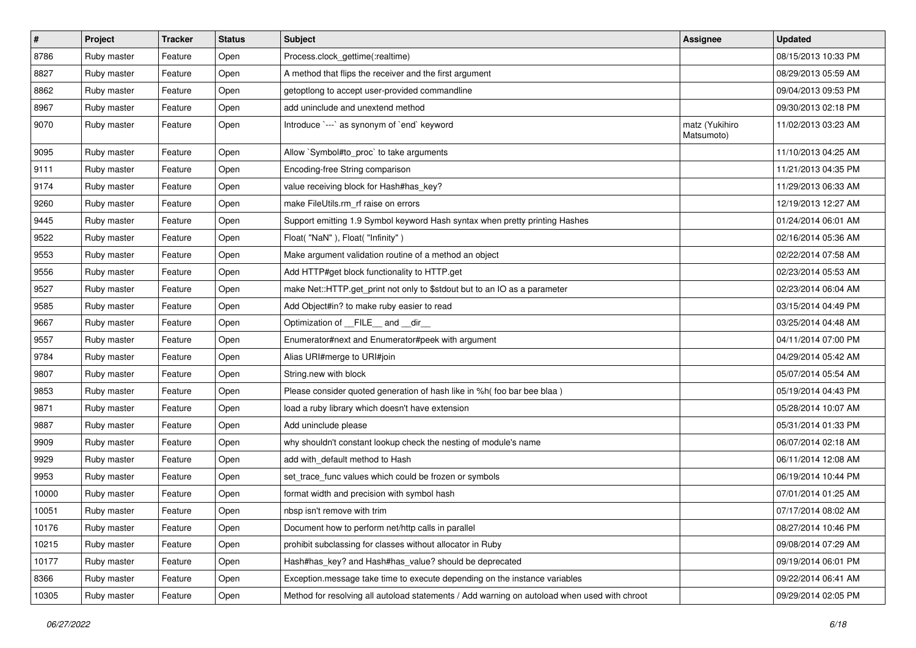| $\pmb{\#}$ | Project     | <b>Tracker</b> | <b>Status</b> | <b>Subject</b>                                                                               | <b>Assignee</b>              | <b>Updated</b>      |
|------------|-------------|----------------|---------------|----------------------------------------------------------------------------------------------|------------------------------|---------------------|
| 8786       | Ruby master | Feature        | Open          | Process.clock_gettime(:realtime)                                                             |                              | 08/15/2013 10:33 PM |
| 8827       | Ruby master | Feature        | Open          | A method that flips the receiver and the first argument                                      |                              | 08/29/2013 05:59 AM |
| 8862       | Ruby master | Feature        | Open          | getoptlong to accept user-provided commandline                                               |                              | 09/04/2013 09:53 PM |
| 8967       | Ruby master | Feature        | Open          | add uninclude and unextend method                                                            |                              | 09/30/2013 02:18 PM |
| 9070       | Ruby master | Feature        | Open          | Introduce `---` as synonym of `end` keyword                                                  | matz (Yukihiro<br>Matsumoto) | 11/02/2013 03:23 AM |
| 9095       | Ruby master | Feature        | Open          | Allow `Symbol#to_proc` to take arguments                                                     |                              | 11/10/2013 04:25 AM |
| 9111       | Ruby master | Feature        | Open          | Encoding-free String comparison                                                              |                              | 11/21/2013 04:35 PM |
| 9174       | Ruby master | Feature        | Open          | value receiving block for Hash#has_key?                                                      |                              | 11/29/2013 06:33 AM |
| 9260       | Ruby master | Feature        | Open          | make FileUtils.rm_rf raise on errors                                                         |                              | 12/19/2013 12:27 AM |
| 9445       | Ruby master | Feature        | Open          | Support emitting 1.9 Symbol keyword Hash syntax when pretty printing Hashes                  |                              | 01/24/2014 06:01 AM |
| 9522       | Ruby master | Feature        | Open          | Float("NaN"), Float("Infinity")                                                              |                              | 02/16/2014 05:36 AM |
| 9553       | Ruby master | Feature        | Open          | Make argument validation routine of a method an object                                       |                              | 02/22/2014 07:58 AM |
| 9556       | Ruby master | Feature        | Open          | Add HTTP#get block functionality to HTTP.get                                                 |                              | 02/23/2014 05:53 AM |
| 9527       | Ruby master | Feature        | Open          | make Net::HTTP.get_print not only to \$stdout but to an IO as a parameter                    |                              | 02/23/2014 06:04 AM |
| 9585       | Ruby master | Feature        | Open          | Add Object#in? to make ruby easier to read                                                   |                              | 03/15/2014 04:49 PM |
| 9667       | Ruby master | Feature        | Open          | Optimization of FILE and dir                                                                 |                              | 03/25/2014 04:48 AM |
| 9557       | Ruby master | Feature        | Open          | Enumerator#next and Enumerator#peek with argument                                            |                              | 04/11/2014 07:00 PM |
| 9784       | Ruby master | Feature        | Open          | Alias URI#merge to URI#join                                                                  |                              | 04/29/2014 05:42 AM |
| 9807       | Ruby master | Feature        | Open          | String.new with block                                                                        |                              | 05/07/2014 05:54 AM |
| 9853       | Ruby master | Feature        | Open          | Please consider quoted generation of hash like in %h( foo bar bee blaa )                     |                              | 05/19/2014 04:43 PM |
| 9871       | Ruby master | Feature        | Open          | load a ruby library which doesn't have extension                                             |                              | 05/28/2014 10:07 AM |
| 9887       | Ruby master | Feature        | Open          | Add uninclude please                                                                         |                              | 05/31/2014 01:33 PM |
| 9909       | Ruby master | Feature        | Open          | why shouldn't constant lookup check the nesting of module's name                             |                              | 06/07/2014 02:18 AM |
| 9929       | Ruby master | Feature        | Open          | add with_default method to Hash                                                              |                              | 06/11/2014 12:08 AM |
| 9953       | Ruby master | Feature        | Open          | set_trace_func values which could be frozen or symbols                                       |                              | 06/19/2014 10:44 PM |
| 10000      | Ruby master | Feature        | Open          | format width and precision with symbol hash                                                  |                              | 07/01/2014 01:25 AM |
| 10051      | Ruby master | Feature        | Open          | nbsp isn't remove with trim                                                                  |                              | 07/17/2014 08:02 AM |
| 10176      | Ruby master | Feature        | Open          | Document how to perform net/http calls in parallel                                           |                              | 08/27/2014 10:46 PM |
| 10215      | Ruby master | Feature        | Open          | prohibit subclassing for classes without allocator in Ruby                                   |                              | 09/08/2014 07:29 AM |
| 10177      | Ruby master | Feature        | Open          | Hash#has_key? and Hash#has_value? should be deprecated                                       |                              | 09/19/2014 06:01 PM |
| 8366       | Ruby master | Feature        | Open          | Exception.message take time to execute depending on the instance variables                   |                              | 09/22/2014 06:41 AM |
| 10305      | Ruby master | Feature        | Open          | Method for resolving all autoload statements / Add warning on autoload when used with chroot |                              | 09/29/2014 02:05 PM |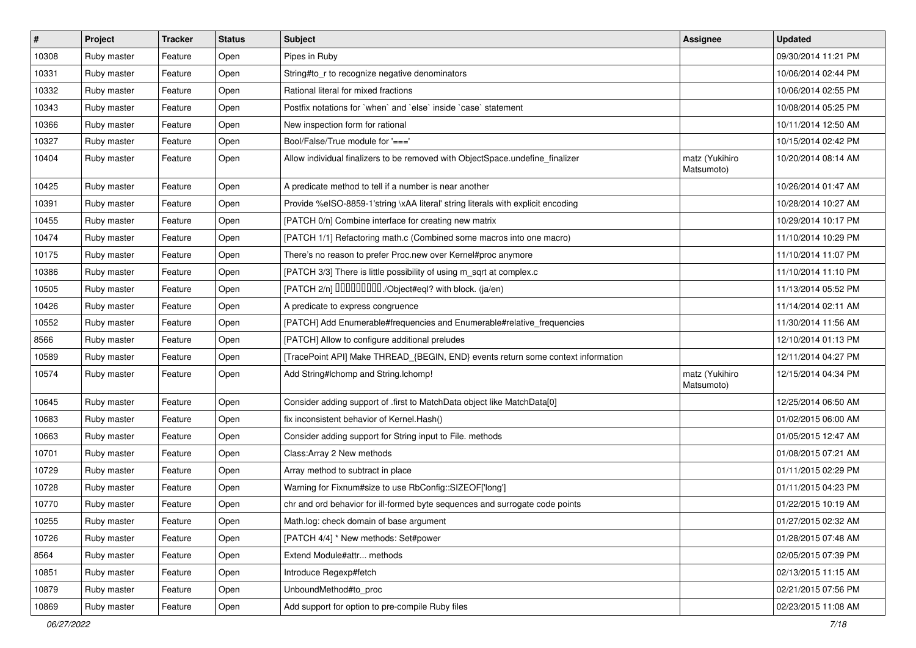| $\sharp$ | Project     | <b>Tracker</b> | <b>Status</b> | Subject                                                                          | <b>Assignee</b>              | <b>Updated</b>      |
|----------|-------------|----------------|---------------|----------------------------------------------------------------------------------|------------------------------|---------------------|
| 10308    | Ruby master | Feature        | Open          | Pipes in Ruby                                                                    |                              | 09/30/2014 11:21 PM |
| 10331    | Ruby master | Feature        | Open          | String#to_r to recognize negative denominators                                   |                              | 10/06/2014 02:44 PM |
| 10332    | Ruby master | Feature        | Open          | Rational literal for mixed fractions                                             |                              | 10/06/2014 02:55 PM |
| 10343    | Ruby master | Feature        | Open          | Postfix notations for 'when' and 'else' inside 'case' statement                  |                              | 10/08/2014 05:25 PM |
| 10366    | Ruby master | Feature        | Open          | New inspection form for rational                                                 |                              | 10/11/2014 12:50 AM |
| 10327    | Ruby master | Feature        | Open          | Bool/False/True module for '==='                                                 |                              | 10/15/2014 02:42 PM |
| 10404    | Ruby master | Feature        | Open          | Allow individual finalizers to be removed with ObjectSpace.undefine_finalizer    | matz (Yukihiro<br>Matsumoto) | 10/20/2014 08:14 AM |
| 10425    | Ruby master | Feature        | Open          | A predicate method to tell if a number is near another                           |                              | 10/26/2014 01:47 AM |
| 10391    | Ruby master | Feature        | Open          | Provide %eISO-8859-1'string \xAA literal' string literals with explicit encoding |                              | 10/28/2014 10:27 AM |
| 10455    | Ruby master | Feature        | Open          | [PATCH 0/n] Combine interface for creating new matrix                            |                              | 10/29/2014 10:17 PM |
| 10474    | Ruby master | Feature        | Open          | [PATCH 1/1] Refactoring math.c (Combined some macros into one macro)             |                              | 11/10/2014 10:29 PM |
| 10175    | Ruby master | Feature        | Open          | There's no reason to prefer Proc.new over Kernel#proc anymore                    |                              | 11/10/2014 11:07 PM |
| 10386    | Ruby master | Feature        | Open          | [PATCH 3/3] There is little possibility of using m_sqrt at complex.c             |                              | 11/10/2014 11:10 PM |
| 10505    | Ruby master | Feature        | Open          | [PATCH 2/n] DDDDDDDD./Object#eql? with block. (ja/en)                            |                              | 11/13/2014 05:52 PM |
| 10426    | Ruby master | Feature        | Open          | A predicate to express congruence                                                |                              | 11/14/2014 02:11 AM |
| 10552    | Ruby master | Feature        | Open          | [PATCH] Add Enumerable#frequencies and Enumerable#relative_frequencies           |                              | 11/30/2014 11:56 AM |
| 8566     | Ruby master | Feature        | Open          | [PATCH] Allow to configure additional preludes                                   |                              | 12/10/2014 01:13 PM |
| 10589    | Ruby master | Feature        | Open          | [TracePoint API] Make THREAD_{BEGIN, END} events return some context information |                              | 12/11/2014 04:27 PM |
| 10574    | Ruby master | Feature        | Open          | Add String#Ichomp and String.Ichomp!                                             | matz (Yukihiro<br>Matsumoto) | 12/15/2014 04:34 PM |
| 10645    | Ruby master | Feature        | Open          | Consider adding support of .first to MatchData object like MatchData[0]          |                              | 12/25/2014 06:50 AM |
| 10683    | Ruby master | Feature        | Open          | fix inconsistent behavior of Kernel.Hash()                                       |                              | 01/02/2015 06:00 AM |
| 10663    | Ruby master | Feature        | Open          | Consider adding support for String input to File. methods                        |                              | 01/05/2015 12:47 AM |
| 10701    | Ruby master | Feature        | Open          | Class: Array 2 New methods                                                       |                              | 01/08/2015 07:21 AM |
| 10729    | Ruby master | Feature        | Open          | Array method to subtract in place                                                |                              | 01/11/2015 02:29 PM |
| 10728    | Ruby master | Feature        | Open          | Warning for Fixnum#size to use RbConfig::SIZEOF['long']                          |                              | 01/11/2015 04:23 PM |
| 10770    | Ruby master | Feature        | Open          | chr and ord behavior for ill-formed byte sequences and surrogate code points     |                              | 01/22/2015 10:19 AM |
| 10255    | Ruby master | Feature        | Open          | Math.log: check domain of base argument                                          |                              | 01/27/2015 02:32 AM |
| 10726    | Ruby master | Feature        | Open          | [PATCH 4/4] * New methods: Set#power                                             |                              | 01/28/2015 07:48 AM |
| 8564     | Ruby master | Feature        | Open          | Extend Module#attr methods                                                       |                              | 02/05/2015 07:39 PM |
| 10851    | Ruby master | Feature        | Open          | Introduce Regexp#fetch                                                           |                              | 02/13/2015 11:15 AM |
| 10879    | Ruby master | Feature        | Open          | UnboundMethod#to_proc                                                            |                              | 02/21/2015 07:56 PM |
| 10869    | Ruby master | Feature        | Open          | Add support for option to pre-compile Ruby files                                 |                              | 02/23/2015 11:08 AM |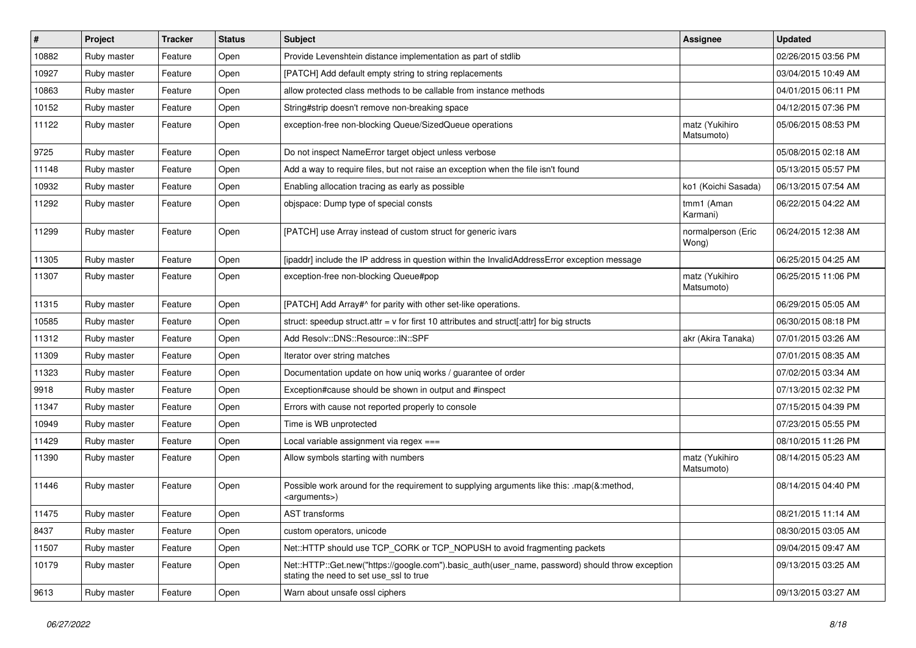| ∦     | Project     | <b>Tracker</b> | <b>Status</b> | <b>Subject</b>                                                                                                                             | <b>Assignee</b>              | <b>Updated</b>      |
|-------|-------------|----------------|---------------|--------------------------------------------------------------------------------------------------------------------------------------------|------------------------------|---------------------|
| 10882 | Ruby master | Feature        | Open          | Provide Levenshtein distance implementation as part of stdlib                                                                              |                              | 02/26/2015 03:56 PM |
| 10927 | Ruby master | Feature        | Open          | [PATCH] Add default empty string to string replacements                                                                                    |                              | 03/04/2015 10:49 AM |
| 10863 | Ruby master | Feature        | Open          | allow protected class methods to be callable from instance methods                                                                         |                              | 04/01/2015 06:11 PM |
| 10152 | Ruby master | Feature        | Open          | String#strip doesn't remove non-breaking space                                                                                             |                              | 04/12/2015 07:36 PM |
| 11122 | Ruby master | Feature        | Open          | exception-free non-blocking Queue/SizedQueue operations                                                                                    | matz (Yukihiro<br>Matsumoto) | 05/06/2015 08:53 PM |
| 9725  | Ruby master | Feature        | Open          | Do not inspect NameError target object unless verbose                                                                                      |                              | 05/08/2015 02:18 AM |
| 11148 | Ruby master | Feature        | Open          | Add a way to require files, but not raise an exception when the file isn't found                                                           |                              | 05/13/2015 05:57 PM |
| 10932 | Ruby master | Feature        | Open          | Enabling allocation tracing as early as possible                                                                                           | ko1 (Koichi Sasada)          | 06/13/2015 07:54 AM |
| 11292 | Ruby master | Feature        | Open          | objspace: Dump type of special consts                                                                                                      | tmm1 (Aman<br>Karmani)       | 06/22/2015 04:22 AM |
| 11299 | Ruby master | Feature        | Open          | [PATCH] use Array instead of custom struct for generic ivars                                                                               | normalperson (Eric<br>Wong)  | 06/24/2015 12:38 AM |
| 11305 | Ruby master | Feature        | Open          | [ipaddr] include the IP address in question within the InvalidAddressError exception message                                               |                              | 06/25/2015 04:25 AM |
| 11307 | Ruby master | Feature        | Open          | exception-free non-blocking Queue#pop                                                                                                      | matz (Yukihiro<br>Matsumoto) | 06/25/2015 11:06 PM |
| 11315 | Ruby master | Feature        | Open          | [PATCH] Add Array#^ for parity with other set-like operations.                                                                             |                              | 06/29/2015 05:05 AM |
| 10585 | Ruby master | Feature        | Open          | struct: speedup struct.attr = $v$ for first 10 attributes and struct[:attr] for big structs                                                |                              | 06/30/2015 08:18 PM |
| 11312 | Ruby master | Feature        | Open          | Add Resolv::DNS::Resource::IN::SPF                                                                                                         | akr (Akira Tanaka)           | 07/01/2015 03:26 AM |
| 11309 | Ruby master | Feature        | Open          | Iterator over string matches                                                                                                               |                              | 07/01/2015 08:35 AM |
| 11323 | Ruby master | Feature        | Open          | Documentation update on how uniq works / guarantee of order                                                                                |                              | 07/02/2015 03:34 AM |
| 9918  | Ruby master | Feature        | Open          | Exception#cause should be shown in output and #inspect                                                                                     |                              | 07/13/2015 02:32 PM |
| 11347 | Ruby master | Feature        | Open          | Errors with cause not reported properly to console                                                                                         |                              | 07/15/2015 04:39 PM |
| 10949 | Ruby master | Feature        | Open          | Time is WB unprotected                                                                                                                     |                              | 07/23/2015 05:55 PM |
| 11429 | Ruby master | Feature        | Open          | Local variable assignment via regex ===                                                                                                    |                              | 08/10/2015 11:26 PM |
| 11390 | Ruby master | Feature        | Open          | Allow symbols starting with numbers                                                                                                        | matz (Yukihiro<br>Matsumoto) | 08/14/2015 05:23 AM |
| 11446 | Ruby master | Feature        | Open          | Possible work around for the requirement to supplying arguments like this: .map(&:method,<br><arguments>)</arguments>                      |                              | 08/14/2015 04:40 PM |
| 11475 | Ruby master | Feature        | Open          | <b>AST</b> transforms                                                                                                                      |                              | 08/21/2015 11:14 AM |
| 8437  | Ruby master | Feature        | Open          | custom operators, unicode                                                                                                                  |                              | 08/30/2015 03:05 AM |
| 11507 | Ruby master | Feature        | Open          | Net::HTTP should use TCP_CORK or TCP_NOPUSH to avoid fragmenting packets                                                                   |                              | 09/04/2015 09:47 AM |
| 10179 | Ruby master | Feature        | Open          | Net::HTTP::Get.new("https://google.com").basic_auth(user_name, password) should throw exception<br>stating the need to set use ssl to true |                              | 09/13/2015 03:25 AM |
| 9613  | Ruby master | Feature        | Open          | Warn about unsafe ossl ciphers                                                                                                             |                              | 09/13/2015 03:27 AM |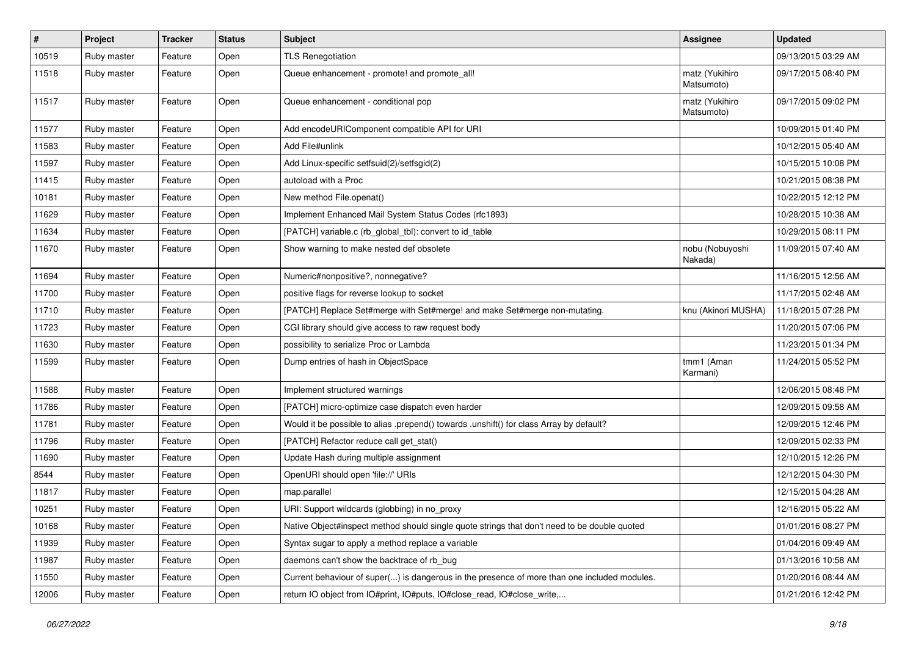| $\pmb{\#}$ | Project     | <b>Tracker</b> | <b>Status</b> | <b>Subject</b>                                                                               | <b>Assignee</b>              | <b>Updated</b>      |
|------------|-------------|----------------|---------------|----------------------------------------------------------------------------------------------|------------------------------|---------------------|
| 10519      | Ruby master | Feature        | Open          | <b>TLS Renegotiation</b>                                                                     |                              | 09/13/2015 03:29 AM |
| 11518      | Ruby master | Feature        | Open          | Queue enhancement - promote! and promote all!                                                | matz (Yukihiro<br>Matsumoto) | 09/17/2015 08:40 PM |
| 11517      | Ruby master | Feature        | Open          | Queue enhancement - conditional pop                                                          | matz (Yukihiro<br>Matsumoto) | 09/17/2015 09:02 PM |
| 11577      | Ruby master | Feature        | Open          | Add encodeURIComponent compatible API for URI                                                |                              | 10/09/2015 01:40 PM |
| 11583      | Ruby master | Feature        | Open          | Add File#unlink                                                                              |                              | 10/12/2015 05:40 AM |
| 11597      | Ruby master | Feature        | Open          | Add Linux-specific setfsuid(2)/setfsgid(2)                                                   |                              | 10/15/2015 10:08 PM |
| 11415      | Ruby master | Feature        | Open          | autoload with a Proc                                                                         |                              | 10/21/2015 08:38 PM |
| 10181      | Ruby master | Feature        | Open          | New method File.openat()                                                                     |                              | 10/22/2015 12:12 PM |
| 11629      | Ruby master | Feature        | Open          | Implement Enhanced Mail System Status Codes (rfc1893)                                        |                              | 10/28/2015 10:38 AM |
| 11634      | Ruby master | Feature        | Open          | [PATCH] variable.c (rb_global_tbl): convert to id_table                                      |                              | 10/29/2015 08:11 PM |
| 11670      | Ruby master | Feature        | Open          | Show warning to make nested def obsolete                                                     | nobu (Nobuyoshi<br>Nakada)   | 11/09/2015 07:40 AM |
| 11694      | Ruby master | Feature        | Open          | Numeric#nonpositive?, nonnegative?                                                           |                              | 11/16/2015 12:56 AM |
| 11700      | Ruby master | Feature        | Open          | positive flags for reverse lookup to socket                                                  |                              | 11/17/2015 02:48 AM |
| 11710      | Ruby master | Feature        | Open          | [PATCH] Replace Set#merge with Set#merge! and make Set#merge non-mutating.                   | knu (Akinori MUSHA)          | 11/18/2015 07:28 PM |
| 11723      | Ruby master | Feature        | Open          | CGI library should give access to raw request body                                           |                              | 11/20/2015 07:06 PM |
| 11630      | Ruby master | Feature        | Open          | possibility to serialize Proc or Lambda                                                      |                              | 11/23/2015 01:34 PM |
| 11599      | Ruby master | Feature        | Open          | Dump entries of hash in ObjectSpace                                                          | tmm1 (Aman<br>Karmani)       | 11/24/2015 05:52 PM |
| 11588      | Ruby master | Feature        | Open          | Implement structured warnings                                                                |                              | 12/06/2015 08:48 PM |
| 11786      | Ruby master | Feature        | Open          | [PATCH] micro-optimize case dispatch even harder                                             |                              | 12/09/2015 09:58 AM |
| 11781      | Ruby master | Feature        | Open          | Would it be possible to alias .prepend() towards .unshift() for class Array by default?      |                              | 12/09/2015 12:46 PM |
| 11796      | Ruby master | Feature        | Open          | [PATCH] Refactor reduce call get_stat()                                                      |                              | 12/09/2015 02:33 PM |
| 11690      | Ruby master | Feature        | Open          | Update Hash during multiple assignment                                                       |                              | 12/10/2015 12:26 PM |
| 8544       | Ruby master | Feature        | Open          | OpenURI should open 'file://' URIs                                                           |                              | 12/12/2015 04:30 PM |
| 11817      | Ruby master | Feature        | Open          | map.parallel                                                                                 |                              | 12/15/2015 04:28 AM |
| 10251      | Ruby master | Feature        | Open          | URI: Support wildcards (globbing) in no_proxy                                                |                              | 12/16/2015 05:22 AM |
| 10168      | Ruby master | Feature        | Open          | Native Object#inspect method should single quote strings that don't need to be double quoted |                              | 01/01/2016 08:27 PM |
| 11939      | Ruby master | Feature        | Open          | Syntax sugar to apply a method replace a variable                                            |                              | 01/04/2016 09:49 AM |
| 11987      | Ruby master | Feature        | Open          | daemons can't show the backtrace of rb_bug                                                   |                              | 01/13/2016 10:58 AM |
| 11550      | Ruby master | Feature        | Open          | Current behaviour of super() is dangerous in the presence of more than one included modules. |                              | 01/20/2016 08:44 AM |
| 12006      | Ruby master | Feature        | Open          | return IO object from IO#print, IO#puts, IO#close_read, IO#close_write,                      |                              | 01/21/2016 12:42 PM |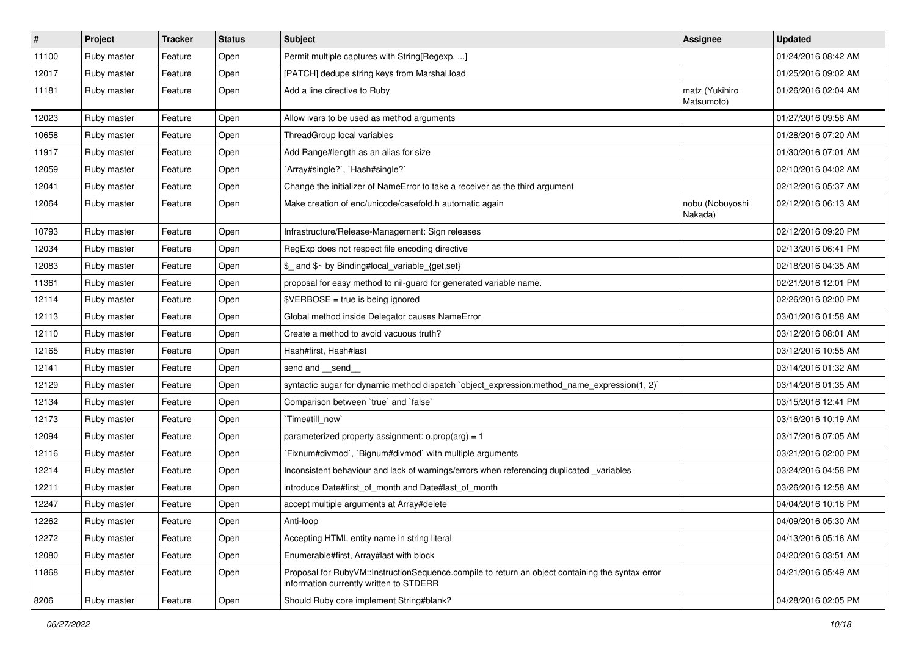| $\vert$ # | Project     | <b>Tracker</b> | <b>Status</b> | <b>Subject</b>                                                                                                                              | Assignee                     | <b>Updated</b>      |
|-----------|-------------|----------------|---------------|---------------------------------------------------------------------------------------------------------------------------------------------|------------------------------|---------------------|
| 11100     | Ruby master | Feature        | Open          | Permit multiple captures with String[Regexp, ]                                                                                              |                              | 01/24/2016 08:42 AM |
| 12017     | Ruby master | Feature        | Open          | [PATCH] dedupe string keys from Marshal.load                                                                                                |                              | 01/25/2016 09:02 AM |
| 11181     | Ruby master | Feature        | Open          | Add a line directive to Ruby                                                                                                                | matz (Yukihiro<br>Matsumoto) | 01/26/2016 02:04 AM |
| 12023     | Ruby master | Feature        | Open          | Allow ivars to be used as method arguments                                                                                                  |                              | 01/27/2016 09:58 AM |
| 10658     | Ruby master | Feature        | Open          | ThreadGroup local variables                                                                                                                 |                              | 01/28/2016 07:20 AM |
| 11917     | Ruby master | Feature        | Open          | Add Range#length as an alias for size                                                                                                       |                              | 01/30/2016 07:01 AM |
| 12059     | Ruby master | Feature        | Open          | 'Array#single?', 'Hash#single?'                                                                                                             |                              | 02/10/2016 04:02 AM |
| 12041     | Ruby master | Feature        | Open          | Change the initializer of NameError to take a receiver as the third argument                                                                |                              | 02/12/2016 05:37 AM |
| 12064     | Ruby master | Feature        | Open          | Make creation of enc/unicode/casefold.h automatic again                                                                                     | nobu (Nobuyoshi<br>Nakada)   | 02/12/2016 06:13 AM |
| 10793     | Ruby master | Feature        | Open          | Infrastructure/Release-Management: Sign releases                                                                                            |                              | 02/12/2016 09:20 PM |
| 12034     | Ruby master | Feature        | Open          | RegExp does not respect file encoding directive                                                                                             |                              | 02/13/2016 06:41 PM |
| 12083     | Ruby master | Feature        | Open          | \$_ and \$~ by Binding#local_variable_{get,set}                                                                                             |                              | 02/18/2016 04:35 AM |
| 11361     | Ruby master | Feature        | Open          | proposal for easy method to nil-guard for generated variable name.                                                                          |                              | 02/21/2016 12:01 PM |
| 12114     | Ruby master | Feature        | Open          | $$VERBOSE = true is being ignored$                                                                                                          |                              | 02/26/2016 02:00 PM |
| 12113     | Ruby master | Feature        | Open          | Global method inside Delegator causes NameError                                                                                             |                              | 03/01/2016 01:58 AM |
| 12110     | Ruby master | Feature        | Open          | Create a method to avoid vacuous truth?                                                                                                     |                              | 03/12/2016 08:01 AM |
| 12165     | Ruby master | Feature        | Open          | Hash#first, Hash#last                                                                                                                       |                              | 03/12/2016 10:55 AM |
| 12141     | Ruby master | Feature        | Open          | send and __send_                                                                                                                            |                              | 03/14/2016 01:32 AM |
| 12129     | Ruby master | Feature        | Open          | syntactic sugar for dynamic method dispatch `object_expression:method_name_expression(1, 2)`                                                |                              | 03/14/2016 01:35 AM |
| 12134     | Ruby master | Feature        | Open          | Comparison between 'true' and 'false'                                                                                                       |                              | 03/15/2016 12:41 PM |
| 12173     | Ruby master | Feature        | Open          | Time#till_now`                                                                                                                              |                              | 03/16/2016 10:19 AM |
| 12094     | Ruby master | Feature        | Open          | parameterized property assignment: $o.prop(arg) = 1$                                                                                        |                              | 03/17/2016 07:05 AM |
| 12116     | Ruby master | Feature        | Open          | Fixnum#divmod`, `Bignum#divmod` with multiple arguments                                                                                     |                              | 03/21/2016 02:00 PM |
| 12214     | Ruby master | Feature        | Open          | Inconsistent behaviour and lack of warnings/errors when referencing duplicated _variables                                                   |                              | 03/24/2016 04:58 PM |
| 12211     | Ruby master | Feature        | Open          | introduce Date#first_of_month and Date#last_of_month                                                                                        |                              | 03/26/2016 12:58 AM |
| 12247     | Ruby master | Feature        | Open          | accept multiple arguments at Array#delete                                                                                                   |                              | 04/04/2016 10:16 PM |
| 12262     | Ruby master | Feature        | Open          | Anti-loop                                                                                                                                   |                              | 04/09/2016 05:30 AM |
| 12272     | Ruby master | Feature        | Open          | Accepting HTML entity name in string literal                                                                                                |                              | 04/13/2016 05:16 AM |
| 12080     | Ruby master | Feature        | Open          | Enumerable#first, Array#last with block                                                                                                     |                              | 04/20/2016 03:51 AM |
| 11868     | Ruby master | Feature        | Open          | Proposal for RubyVM::InstructionSequence.compile to return an object containing the syntax error<br>information currently written to STDERR |                              | 04/21/2016 05:49 AM |
| 8206      | Ruby master | Feature        | Open          | Should Ruby core implement String#blank?                                                                                                    |                              | 04/28/2016 02:05 PM |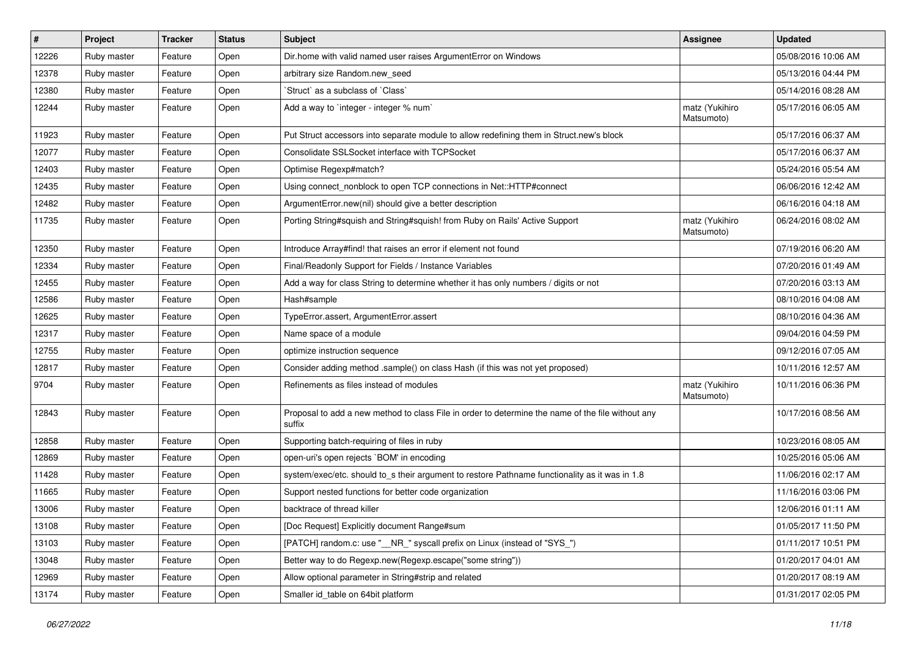| #     | Project     | <b>Tracker</b> | <b>Status</b> | <b>Subject</b>                                                                                              | <b>Assignee</b>              | <b>Updated</b>      |
|-------|-------------|----------------|---------------|-------------------------------------------------------------------------------------------------------------|------------------------------|---------------------|
| 12226 | Ruby master | Feature        | Open          | Dir.home with valid named user raises ArgumentError on Windows                                              |                              | 05/08/2016 10:06 AM |
| 12378 | Ruby master | Feature        | Open          | arbitrary size Random.new_seed                                                                              |                              | 05/13/2016 04:44 PM |
| 12380 | Ruby master | Feature        | Open          | 'Struct' as a subclass of 'Class'                                                                           |                              | 05/14/2016 08:28 AM |
| 12244 | Ruby master | Feature        | Open          | Add a way to `integer - integer % num`                                                                      | matz (Yukihiro<br>Matsumoto) | 05/17/2016 06:05 AM |
| 11923 | Ruby master | Feature        | Open          | Put Struct accessors into separate module to allow redefining them in Struct.new's block                    |                              | 05/17/2016 06:37 AM |
| 12077 | Ruby master | Feature        | Open          | Consolidate SSLSocket interface with TCPSocket                                                              |                              | 05/17/2016 06:37 AM |
| 12403 | Ruby master | Feature        | Open          | Optimise Regexp#match?                                                                                      |                              | 05/24/2016 05:54 AM |
| 12435 | Ruby master | Feature        | Open          | Using connect_nonblock to open TCP connections in Net::HTTP#connect                                         |                              | 06/06/2016 12:42 AM |
| 12482 | Ruby master | Feature        | Open          | ArgumentError.new(nil) should give a better description                                                     |                              | 06/16/2016 04:18 AM |
| 11735 | Ruby master | Feature        | Open          | Porting String#squish and String#squish! from Ruby on Rails' Active Support                                 | matz (Yukihiro<br>Matsumoto) | 06/24/2016 08:02 AM |
| 12350 | Ruby master | Feature        | Open          | Introduce Array#find! that raises an error if element not found                                             |                              | 07/19/2016 06:20 AM |
| 12334 | Ruby master | Feature        | Open          | Final/Readonly Support for Fields / Instance Variables                                                      |                              | 07/20/2016 01:49 AM |
| 12455 | Ruby master | Feature        | Open          | Add a way for class String to determine whether it has only numbers / digits or not                         |                              | 07/20/2016 03:13 AM |
| 12586 | Ruby master | Feature        | Open          | Hash#sample                                                                                                 |                              | 08/10/2016 04:08 AM |
| 12625 | Ruby master | Feature        | Open          | TypeError.assert, ArgumentError.assert                                                                      |                              | 08/10/2016 04:36 AM |
| 12317 | Ruby master | Feature        | Open          | Name space of a module                                                                                      |                              | 09/04/2016 04:59 PM |
| 12755 | Ruby master | Feature        | Open          | optimize instruction sequence                                                                               |                              | 09/12/2016 07:05 AM |
| 12817 | Ruby master | Feature        | Open          | Consider adding method .sample() on class Hash (if this was not yet proposed)                               |                              | 10/11/2016 12:57 AM |
| 9704  | Ruby master | Feature        | Open          | Refinements as files instead of modules                                                                     | matz (Yukihiro<br>Matsumoto) | 10/11/2016 06:36 PM |
| 12843 | Ruby master | Feature        | Open          | Proposal to add a new method to class File in order to determine the name of the file without any<br>suffix |                              | 10/17/2016 08:56 AM |
| 12858 | Ruby master | Feature        | Open          | Supporting batch-requiring of files in ruby                                                                 |                              | 10/23/2016 08:05 AM |
| 12869 | Ruby master | Feature        | Open          | open-uri's open rejects `BOM' in encoding                                                                   |                              | 10/25/2016 05:06 AM |
| 11428 | Ruby master | Feature        | Open          | system/exec/etc. should to_s their argument to restore Pathname functionality as it was in 1.8              |                              | 11/06/2016 02:17 AM |
| 11665 | Ruby master | Feature        | Open          | Support nested functions for better code organization                                                       |                              | 11/16/2016 03:06 PM |
| 13006 | Ruby master | Feature        | Open          | backtrace of thread killer                                                                                  |                              | 12/06/2016 01:11 AM |
| 13108 | Ruby master | Feature        | Open          | [Doc Request] Explicitly document Range#sum                                                                 |                              | 01/05/2017 11:50 PM |
| 13103 | Ruby master | Feature        | Open          | [PATCH] random.c: use "__NR_" syscall prefix on Linux (instead of "SYS_")                                   |                              | 01/11/2017 10:51 PM |
| 13048 | Ruby master | Feature        | Open          | Better way to do Regexp.new(Regexp.escape("some string"))                                                   |                              | 01/20/2017 04:01 AM |
| 12969 | Ruby master | Feature        | Open          | Allow optional parameter in String#strip and related                                                        |                              | 01/20/2017 08:19 AM |
| 13174 | Ruby master | Feature        | Open          | Smaller id_table on 64bit platform                                                                          |                              | 01/31/2017 02:05 PM |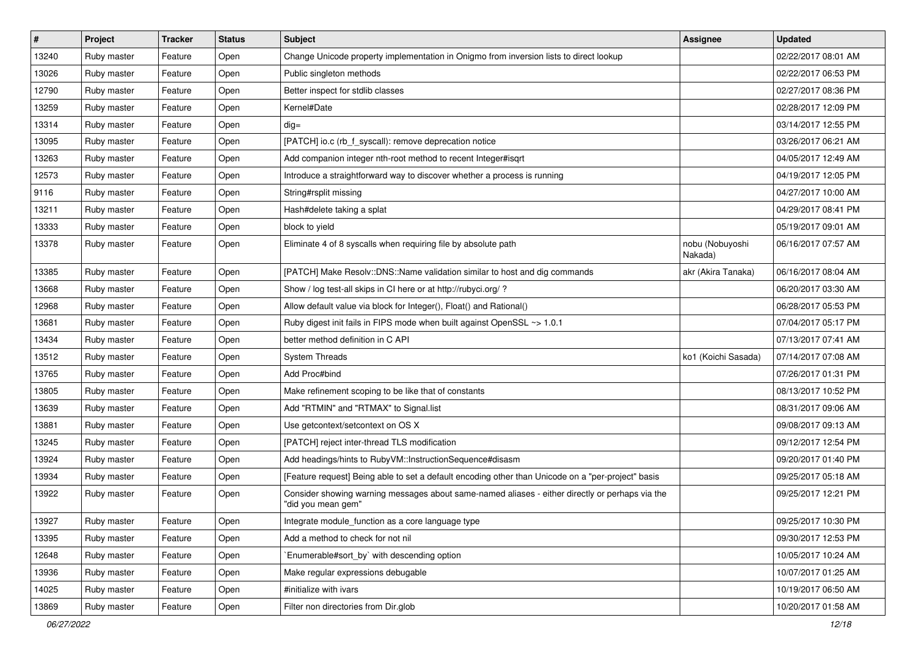| #     | Project     | <b>Tracker</b> | <b>Status</b> | Subject                                                                                                               | Assignee                   | <b>Updated</b>      |
|-------|-------------|----------------|---------------|-----------------------------------------------------------------------------------------------------------------------|----------------------------|---------------------|
| 13240 | Ruby master | Feature        | Open          | Change Unicode property implementation in Onigmo from inversion lists to direct lookup                                |                            | 02/22/2017 08:01 AM |
| 13026 | Ruby master | Feature        | Open          | Public singleton methods                                                                                              |                            | 02/22/2017 06:53 PM |
| 12790 | Ruby master | Feature        | Open          | Better inspect for stdlib classes                                                                                     |                            | 02/27/2017 08:36 PM |
| 13259 | Ruby master | Feature        | Open          | Kernel#Date                                                                                                           |                            | 02/28/2017 12:09 PM |
| 13314 | Ruby master | Feature        | Open          | $dig =$                                                                                                               |                            | 03/14/2017 12:55 PM |
| 13095 | Ruby master | Feature        | Open          | [PATCH] io.c (rb_f_syscall): remove deprecation notice                                                                |                            | 03/26/2017 06:21 AM |
| 13263 | Ruby master | Feature        | Open          | Add companion integer nth-root method to recent Integer#isqrt                                                         |                            | 04/05/2017 12:49 AM |
| 12573 | Ruby master | Feature        | Open          | Introduce a straightforward way to discover whether a process is running                                              |                            | 04/19/2017 12:05 PM |
| 9116  | Ruby master | Feature        | Open          | String#rsplit missing                                                                                                 |                            | 04/27/2017 10:00 AM |
| 13211 | Ruby master | Feature        | Open          | Hash#delete taking a splat                                                                                            |                            | 04/29/2017 08:41 PM |
| 13333 | Ruby master | Feature        | Open          | block to yield                                                                                                        |                            | 05/19/2017 09:01 AM |
| 13378 | Ruby master | Feature        | Open          | Eliminate 4 of 8 syscalls when requiring file by absolute path                                                        | nobu (Nobuyoshi<br>Nakada) | 06/16/2017 07:57 AM |
| 13385 | Ruby master | Feature        | Open          | [PATCH] Make Resolv::DNS::Name validation similar to host and dig commands                                            | akr (Akira Tanaka)         | 06/16/2017 08:04 AM |
| 13668 | Ruby master | Feature        | Open          | Show / log test-all skips in CI here or at http://rubyci.org/?                                                        |                            | 06/20/2017 03:30 AM |
| 12968 | Ruby master | Feature        | Open          | Allow default value via block for Integer(), Float() and Rational()                                                   |                            | 06/28/2017 05:53 PM |
| 13681 | Ruby master | Feature        | Open          | Ruby digest init fails in FIPS mode when built against OpenSSL ~> 1.0.1                                               |                            | 07/04/2017 05:17 PM |
| 13434 | Ruby master | Feature        | Open          | better method definition in C API                                                                                     |                            | 07/13/2017 07:41 AM |
| 13512 | Ruby master | Feature        | Open          | <b>System Threads</b>                                                                                                 | ko1 (Koichi Sasada)        | 07/14/2017 07:08 AM |
| 13765 | Ruby master | Feature        | Open          | Add Proc#bind                                                                                                         |                            | 07/26/2017 01:31 PM |
| 13805 | Ruby master | Feature        | Open          | Make refinement scoping to be like that of constants                                                                  |                            | 08/13/2017 10:52 PM |
| 13639 | Ruby master | Feature        | Open          | Add "RTMIN" and "RTMAX" to Signal.list                                                                                |                            | 08/31/2017 09:06 AM |
| 13881 | Ruby master | Feature        | Open          | Use getcontext/setcontext on OS X                                                                                     |                            | 09/08/2017 09:13 AM |
| 13245 | Ruby master | Feature        | Open          | [PATCH] reject inter-thread TLS modification                                                                          |                            | 09/12/2017 12:54 PM |
| 13924 | Ruby master | Feature        | Open          | Add headings/hints to RubyVM::InstructionSequence#disasm                                                              |                            | 09/20/2017 01:40 PM |
| 13934 | Ruby master | Feature        | Open          | [Feature request] Being able to set a default encoding other than Unicode on a "per-project" basis                    |                            | 09/25/2017 05:18 AM |
| 13922 | Ruby master | Feature        | Open          | Consider showing warning messages about same-named aliases - either directly or perhaps via the<br>"did you mean gem" |                            | 09/25/2017 12:21 PM |
| 13927 | Ruby master | Feature        | Open          | Integrate module_function as a core language type                                                                     |                            | 09/25/2017 10:30 PM |
| 13395 | Ruby master | Feature        | Open          | Add a method to check for not nil                                                                                     |                            | 09/30/2017 12:53 PM |
| 12648 | Ruby master | Feature        | Open          | Enumerable#sort_by` with descending option                                                                            |                            | 10/05/2017 10:24 AM |
| 13936 | Ruby master | Feature        | Open          | Make regular expressions debugable                                                                                    |                            | 10/07/2017 01:25 AM |
| 14025 | Ruby master | Feature        | Open          | #initialize with ivars                                                                                                |                            | 10/19/2017 06:50 AM |
| 13869 | Ruby master | Feature        | Open          | Filter non directories from Dir.glob                                                                                  |                            | 10/20/2017 01:58 AM |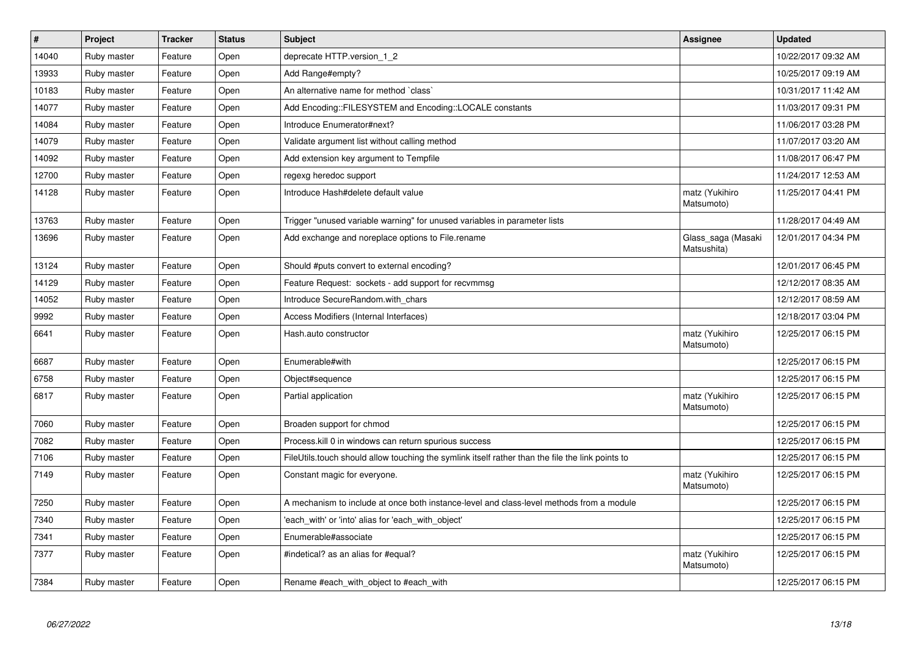| $\vert$ # | Project     | <b>Tracker</b> | <b>Status</b> | <b>Subject</b>                                                                                   | Assignee                          | <b>Updated</b>      |
|-----------|-------------|----------------|---------------|--------------------------------------------------------------------------------------------------|-----------------------------------|---------------------|
| 14040     | Ruby master | Feature        | Open          | deprecate HTTP.version 1 2                                                                       |                                   | 10/22/2017 09:32 AM |
| 13933     | Ruby master | Feature        | Open          | Add Range#empty?                                                                                 |                                   | 10/25/2017 09:19 AM |
| 10183     | Ruby master | Feature        | Open          | An alternative name for method `class`                                                           |                                   | 10/31/2017 11:42 AM |
| 14077     | Ruby master | Feature        | Open          | Add Encoding::FILESYSTEM and Encoding::LOCALE constants                                          |                                   | 11/03/2017 09:31 PM |
| 14084     | Ruby master | Feature        | Open          | Introduce Enumerator#next?                                                                       |                                   | 11/06/2017 03:28 PM |
| 14079     | Ruby master | Feature        | Open          | Validate argument list without calling method                                                    |                                   | 11/07/2017 03:20 AM |
| 14092     | Ruby master | Feature        | Open          | Add extension key argument to Tempfile                                                           |                                   | 11/08/2017 06:47 PM |
| 12700     | Ruby master | Feature        | Open          | regexg heredoc support                                                                           |                                   | 11/24/2017 12:53 AM |
| 14128     | Ruby master | Feature        | Open          | Introduce Hash#delete default value                                                              | matz (Yukihiro<br>Matsumoto)      | 11/25/2017 04:41 PM |
| 13763     | Ruby master | Feature        | Open          | Trigger "unused variable warning" for unused variables in parameter lists                        |                                   | 11/28/2017 04:49 AM |
| 13696     | Ruby master | Feature        | Open          | Add exchange and noreplace options to File.rename                                                | Glass_saga (Masaki<br>Matsushita) | 12/01/2017 04:34 PM |
| 13124     | Ruby master | Feature        | Open          | Should #puts convert to external encoding?                                                       |                                   | 12/01/2017 06:45 PM |
| 14129     | Ruby master | Feature        | Open          | Feature Request: sockets - add support for recvmmsg                                              |                                   | 12/12/2017 08:35 AM |
| 14052     | Ruby master | Feature        | Open          | Introduce SecureRandom.with chars                                                                |                                   | 12/12/2017 08:59 AM |
| 9992      | Ruby master | Feature        | Open          | Access Modifiers (Internal Interfaces)                                                           |                                   | 12/18/2017 03:04 PM |
| 6641      | Ruby master | Feature        | Open          | Hash.auto constructor                                                                            | matz (Yukihiro<br>Matsumoto)      | 12/25/2017 06:15 PM |
| 6687      | Ruby master | Feature        | Open          | Enumerable#with                                                                                  |                                   | 12/25/2017 06:15 PM |
| 6758      | Ruby master | Feature        | Open          | Object#sequence                                                                                  |                                   | 12/25/2017 06:15 PM |
| 6817      | Ruby master | Feature        | Open          | Partial application                                                                              | matz (Yukihiro<br>Matsumoto)      | 12/25/2017 06:15 PM |
| 7060      | Ruby master | Feature        | Open          | Broaden support for chmod                                                                        |                                   | 12/25/2017 06:15 PM |
| 7082      | Ruby master | Feature        | Open          | Process. kill 0 in windows can return spurious success                                           |                                   | 12/25/2017 06:15 PM |
| 7106      | Ruby master | Feature        | Open          | FileUtils.touch should allow touching the symlink itself rather than the file the link points to |                                   | 12/25/2017 06:15 PM |
| 7149      | Ruby master | Feature        | Open          | Constant magic for everyone.                                                                     | matz (Yukihiro<br>Matsumoto)      | 12/25/2017 06:15 PM |
| 7250      | Ruby master | Feature        | Open          | A mechanism to include at once both instance-level and class-level methods from a module         |                                   | 12/25/2017 06:15 PM |
| 7340      | Ruby master | Feature        | Open          | 'each_with' or 'into' alias for 'each_with_object'                                               |                                   | 12/25/2017 06:15 PM |
| 7341      | Ruby master | Feature        | Open          | Enumerable#associate                                                                             |                                   | 12/25/2017 06:15 PM |
| 7377      | Ruby master | Feature        | Open          | #indetical? as an alias for #equal?                                                              | matz (Yukihiro<br>Matsumoto)      | 12/25/2017 06:15 PM |
| 7384      | Ruby master | Feature        | Open          | Rename #each with object to #each with                                                           |                                   | 12/25/2017 06:15 PM |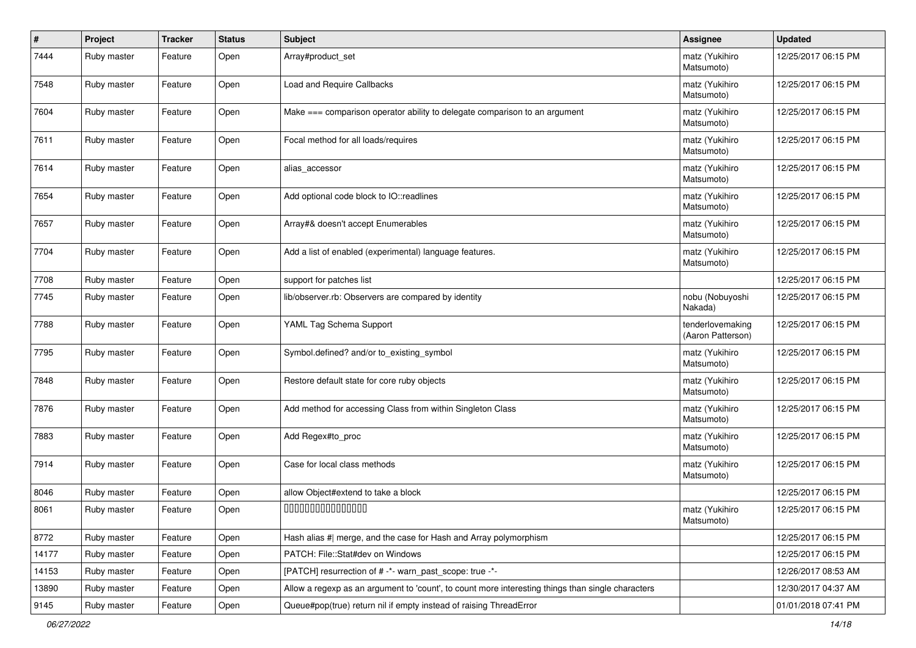| #     | Project     | <b>Tracker</b> | <b>Status</b> | <b>Subject</b>                                                                                    | <b>Assignee</b>                       | <b>Updated</b>      |
|-------|-------------|----------------|---------------|---------------------------------------------------------------------------------------------------|---------------------------------------|---------------------|
| 7444  | Ruby master | Feature        | Open          | Array#product_set                                                                                 | matz (Yukihiro<br>Matsumoto)          | 12/25/2017 06:15 PM |
| 7548  | Ruby master | Feature        | Open          | Load and Require Callbacks                                                                        | matz (Yukihiro<br>Matsumoto)          | 12/25/2017 06:15 PM |
| 7604  | Ruby master | Feature        | Open          | Make === comparison operator ability to delegate comparison to an argument                        | matz (Yukihiro<br>Matsumoto)          | 12/25/2017 06:15 PM |
| 7611  | Ruby master | Feature        | Open          | Focal method for all loads/requires                                                               | matz (Yukihiro<br>Matsumoto)          | 12/25/2017 06:15 PM |
| 7614  | Ruby master | Feature        | Open          | alias_accessor                                                                                    | matz (Yukihiro<br>Matsumoto)          | 12/25/2017 06:15 PM |
| 7654  | Ruby master | Feature        | Open          | Add optional code block to IO::readlines                                                          | matz (Yukihiro<br>Matsumoto)          | 12/25/2017 06:15 PM |
| 7657  | Ruby master | Feature        | Open          | Array#& doesn't accept Enumerables                                                                | matz (Yukihiro<br>Matsumoto)          | 12/25/2017 06:15 PM |
| 7704  | Ruby master | Feature        | Open          | Add a list of enabled (experimental) language features.                                           | matz (Yukihiro<br>Matsumoto)          | 12/25/2017 06:15 PM |
| 7708  | Ruby master | Feature        | Open          | support for patches list                                                                          |                                       | 12/25/2017 06:15 PM |
| 7745  | Ruby master | Feature        | Open          | lib/observer.rb: Observers are compared by identity                                               | nobu (Nobuyoshi<br>Nakada)            | 12/25/2017 06:15 PM |
| 7788  | Ruby master | Feature        | Open          | YAML Tag Schema Support                                                                           | tenderlovemaking<br>(Aaron Patterson) | 12/25/2017 06:15 PM |
| 7795  | Ruby master | Feature        | Open          | Symbol.defined? and/or to_existing_symbol                                                         | matz (Yukihiro<br>Matsumoto)          | 12/25/2017 06:15 PM |
| 7848  | Ruby master | Feature        | Open          | Restore default state for core ruby objects                                                       | matz (Yukihiro<br>Matsumoto)          | 12/25/2017 06:15 PM |
| 7876  | Ruby master | Feature        | Open          | Add method for accessing Class from within Singleton Class                                        | matz (Yukihiro<br>Matsumoto)          | 12/25/2017 06:15 PM |
| 7883  | Ruby master | Feature        | Open          | Add Regex#to_proc                                                                                 | matz (Yukihiro<br>Matsumoto)          | 12/25/2017 06:15 PM |
| 7914  | Ruby master | Feature        | Open          | Case for local class methods                                                                      | matz (Yukihiro<br>Matsumoto)          | 12/25/2017 06:15 PM |
| 8046  | Ruby master | Feature        | Open          | allow Object#extend to take a block                                                               |                                       | 12/25/2017 06:15 PM |
| 8061  | Ruby master | Feature        | Open          | 000000000000000                                                                                   | matz (Yukihiro<br>Matsumoto)          | 12/25/2017 06:15 PM |
| 8772  | Ruby master | Feature        | Open          | Hash alias #  merge, and the case for Hash and Array polymorphism                                 |                                       | 12/25/2017 06:15 PM |
| 14177 | Ruby master | Feature        | Open          | PATCH: File::Stat#dev on Windows                                                                  |                                       | 12/25/2017 06:15 PM |
| 14153 | Ruby master | Feature        | Open          | [PATCH] resurrection of # -*- warn_past_scope: true -*-                                           |                                       | 12/26/2017 08:53 AM |
| 13890 | Ruby master | Feature        | Open          | Allow a regexp as an argument to 'count', to count more interesting things than single characters |                                       | 12/30/2017 04:37 AM |
| 9145  | Ruby master | Feature        | Open          | Queue#pop(true) return nil if empty instead of raising ThreadError                                |                                       | 01/01/2018 07:41 PM |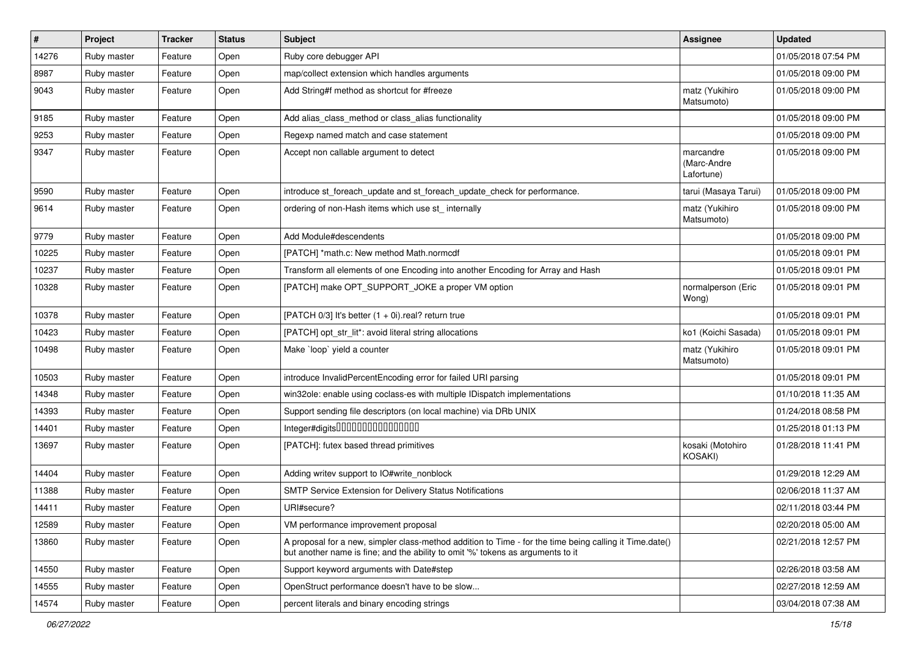| $\sharp$ | Project     | <b>Tracker</b> | <b>Status</b> | <b>Subject</b>                                                                                                                                                                             | <b>Assignee</b>                        | <b>Updated</b>      |
|----------|-------------|----------------|---------------|--------------------------------------------------------------------------------------------------------------------------------------------------------------------------------------------|----------------------------------------|---------------------|
| 14276    | Ruby master | Feature        | Open          | Ruby core debugger API                                                                                                                                                                     |                                        | 01/05/2018 07:54 PM |
| 8987     | Ruby master | Feature        | Open          | map/collect extension which handles arguments                                                                                                                                              |                                        | 01/05/2018 09:00 PM |
| 9043     | Ruby master | Feature        | Open          | Add String#f method as shortcut for #freeze                                                                                                                                                | matz (Yukihiro<br>Matsumoto)           | 01/05/2018 09:00 PM |
| 9185     | Ruby master | Feature        | Open          | Add alias_class_method or class_alias functionality                                                                                                                                        |                                        | 01/05/2018 09:00 PM |
| 9253     | Ruby master | Feature        | Open          | Regexp named match and case statement                                                                                                                                                      |                                        | 01/05/2018 09:00 PM |
| 9347     | Ruby master | Feature        | Open          | Accept non callable argument to detect                                                                                                                                                     | marcandre<br>(Marc-Andre<br>Lafortune) | 01/05/2018 09:00 PM |
| 9590     | Ruby master | Feature        | Open          | introduce st_foreach_update and st_foreach_update_check for performance.                                                                                                                   | tarui (Masaya Tarui)                   | 01/05/2018 09:00 PM |
| 9614     | Ruby master | Feature        | Open          | ordering of non-Hash items which use st_internally                                                                                                                                         | matz (Yukihiro<br>Matsumoto)           | 01/05/2018 09:00 PM |
| 9779     | Ruby master | Feature        | Open          | Add Module#descendents                                                                                                                                                                     |                                        | 01/05/2018 09:00 PM |
| 10225    | Ruby master | Feature        | Open          | [PATCH] *math.c: New method Math.normcdf                                                                                                                                                   |                                        | 01/05/2018 09:01 PM |
| 10237    | Ruby master | Feature        | Open          | Transform all elements of one Encoding into another Encoding for Array and Hash                                                                                                            |                                        | 01/05/2018 09:01 PM |
| 10328    | Ruby master | Feature        | Open          | [PATCH] make OPT_SUPPORT_JOKE a proper VM option                                                                                                                                           | normalperson (Eric<br>Wong)            | 01/05/2018 09:01 PM |
| 10378    | Ruby master | Feature        | Open          | [PATCH 0/3] It's better (1 + 0i).real? return true                                                                                                                                         |                                        | 01/05/2018 09:01 PM |
| 10423    | Ruby master | Feature        | Open          | [PATCH] opt_str_lit*: avoid literal string allocations                                                                                                                                     | ko1 (Koichi Sasada)                    | 01/05/2018 09:01 PM |
| 10498    | Ruby master | Feature        | Open          | Make `loop` yield a counter                                                                                                                                                                | matz (Yukihiro<br>Matsumoto)           | 01/05/2018 09:01 PM |
| 10503    | Ruby master | Feature        | Open          | introduce InvalidPercentEncoding error for failed URI parsing                                                                                                                              |                                        | 01/05/2018 09:01 PM |
| 14348    | Ruby master | Feature        | Open          | win32ole: enable using coclass-es with multiple IDispatch implementations                                                                                                                  |                                        | 01/10/2018 11:35 AM |
| 14393    | Ruby master | Feature        | Open          | Support sending file descriptors (on local machine) via DRb UNIX                                                                                                                           |                                        | 01/24/2018 08:58 PM |
| 14401    | Ruby master | Feature        | Open          | Integer#digits000000000000000                                                                                                                                                              |                                        | 01/25/2018 01:13 PM |
| 13697    | Ruby master | Feature        | Open          | [PATCH]: futex based thread primitives                                                                                                                                                     | kosaki (Motohiro<br>KOSAKI)            | 01/28/2018 11:41 PM |
| 14404    | Ruby master | Feature        | Open          | Adding writev support to IO#write_nonblock                                                                                                                                                 |                                        | 01/29/2018 12:29 AM |
| 11388    | Ruby master | Feature        | Open          | SMTP Service Extension for Delivery Status Notifications                                                                                                                                   |                                        | 02/06/2018 11:37 AM |
| 14411    | Ruby master | Feature        | Open          | URI#secure?                                                                                                                                                                                |                                        | 02/11/2018 03:44 PM |
| 12589    | Ruby master | Feature        | Open          | VM performance improvement proposal                                                                                                                                                        |                                        | 02/20/2018 05:00 AM |
| 13860    | Ruby master | Feature        | Open          | A proposal for a new, simpler class-method addition to Time - for the time being calling it Time.date()<br>but another name is fine; and the ability to omit '%' tokens as arguments to it |                                        | 02/21/2018 12:57 PM |
| 14550    | Ruby master | Feature        | Open          | Support keyword arguments with Date#step                                                                                                                                                   |                                        | 02/26/2018 03:58 AM |
| 14555    | Ruby master | Feature        | Open          | OpenStruct performance doesn't have to be slow                                                                                                                                             |                                        | 02/27/2018 12:59 AM |
| 14574    | Ruby master | Feature        | Open          | percent literals and binary encoding strings                                                                                                                                               |                                        | 03/04/2018 07:38 AM |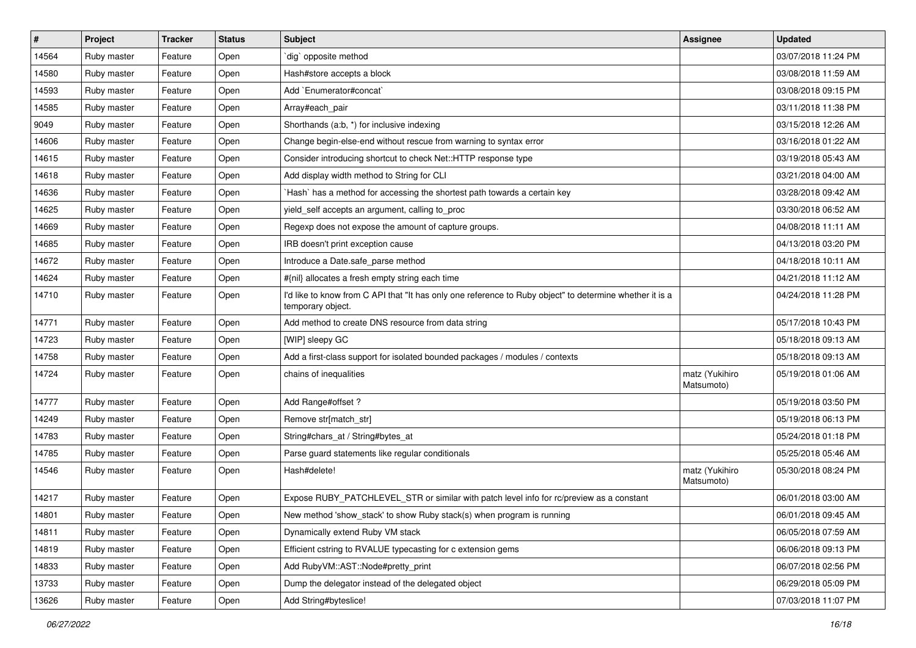| #     | Project     | <b>Tracker</b> | <b>Status</b> | Subject                                                                                                                       | Assignee                     | <b>Updated</b>      |
|-------|-------------|----------------|---------------|-------------------------------------------------------------------------------------------------------------------------------|------------------------------|---------------------|
| 14564 | Ruby master | Feature        | Open          | dig` opposite method                                                                                                          |                              | 03/07/2018 11:24 PM |
| 14580 | Ruby master | Feature        | Open          | Hash#store accepts a block                                                                                                    |                              | 03/08/2018 11:59 AM |
| 14593 | Ruby master | Feature        | Open          | Add `Enumerator#concat`                                                                                                       |                              | 03/08/2018 09:15 PM |
| 14585 | Ruby master | Feature        | Open          | Array#each_pair                                                                                                               |                              | 03/11/2018 11:38 PM |
| 9049  | Ruby master | Feature        | Open          | Shorthands (a:b, *) for inclusive indexing                                                                                    |                              | 03/15/2018 12:26 AM |
| 14606 | Ruby master | Feature        | Open          | Change begin-else-end without rescue from warning to syntax error                                                             |                              | 03/16/2018 01:22 AM |
| 14615 | Ruby master | Feature        | Open          | Consider introducing shortcut to check Net::HTTP response type                                                                |                              | 03/19/2018 05:43 AM |
| 14618 | Ruby master | Feature        | Open          | Add display width method to String for CLI                                                                                    |                              | 03/21/2018 04:00 AM |
| 14636 | Ruby master | Feature        | Open          | Hash` has a method for accessing the shortest path towards a certain key                                                      |                              | 03/28/2018 09:42 AM |
| 14625 | Ruby master | Feature        | Open          | yield_self accepts an argument, calling to_proc                                                                               |                              | 03/30/2018 06:52 AM |
| 14669 | Ruby master | Feature        | Open          | Regexp does not expose the amount of capture groups.                                                                          |                              | 04/08/2018 11:11 AM |
| 14685 | Ruby master | Feature        | Open          | IRB doesn't print exception cause                                                                                             |                              | 04/13/2018 03:20 PM |
| 14672 | Ruby master | Feature        | Open          | Introduce a Date.safe_parse method                                                                                            |                              | 04/18/2018 10:11 AM |
| 14624 | Ruby master | Feature        | Open          | #{nil} allocates a fresh empty string each time                                                                               |                              | 04/21/2018 11:12 AM |
| 14710 | Ruby master | Feature        | Open          | I'd like to know from C API that "It has only one reference to Ruby object" to determine whether it is a<br>temporary object. |                              | 04/24/2018 11:28 PM |
| 14771 | Ruby master | Feature        | Open          | Add method to create DNS resource from data string                                                                            |                              | 05/17/2018 10:43 PM |
| 14723 | Ruby master | Feature        | Open          | [WIP] sleepy GC                                                                                                               |                              | 05/18/2018 09:13 AM |
| 14758 | Ruby master | Feature        | Open          | Add a first-class support for isolated bounded packages / modules / contexts                                                  |                              | 05/18/2018 09:13 AM |
| 14724 | Ruby master | Feature        | Open          | chains of inequalities                                                                                                        | matz (Yukihiro<br>Matsumoto) | 05/19/2018 01:06 AM |
| 14777 | Ruby master | Feature        | Open          | Add Range#offset?                                                                                                             |                              | 05/19/2018 03:50 PM |
| 14249 | Ruby master | Feature        | Open          | Remove str[match_str]                                                                                                         |                              | 05/19/2018 06:13 PM |
| 14783 | Ruby master | Feature        | Open          | String#chars_at / String#bytes_at                                                                                             |                              | 05/24/2018 01:18 PM |
| 14785 | Ruby master | Feature        | Open          | Parse guard statements like regular conditionals                                                                              |                              | 05/25/2018 05:46 AM |
| 14546 | Ruby master | Feature        | Open          | Hash#delete!                                                                                                                  | matz (Yukihiro<br>Matsumoto) | 05/30/2018 08:24 PM |
| 14217 | Ruby master | Feature        | Open          | Expose RUBY_PATCHLEVEL_STR or similar with patch level info for rc/preview as a constant                                      |                              | 06/01/2018 03:00 AM |
| 14801 | Ruby master | Feature        | Open          | New method 'show_stack' to show Ruby stack(s) when program is running                                                         |                              | 06/01/2018 09:45 AM |
| 14811 | Ruby master | Feature        | Open          | Dynamically extend Ruby VM stack                                                                                              |                              | 06/05/2018 07:59 AM |
| 14819 | Ruby master | Feature        | Open          | Efficient cstring to RVALUE typecasting for c extension gems                                                                  |                              | 06/06/2018 09:13 PM |
| 14833 | Ruby master | Feature        | Open          | Add RubyVM::AST::Node#pretty_print                                                                                            |                              | 06/07/2018 02:56 PM |
| 13733 | Ruby master | Feature        | Open          | Dump the delegator instead of the delegated object                                                                            |                              | 06/29/2018 05:09 PM |
| 13626 | Ruby master | Feature        | Open          | Add String#byteslice!                                                                                                         |                              | 07/03/2018 11:07 PM |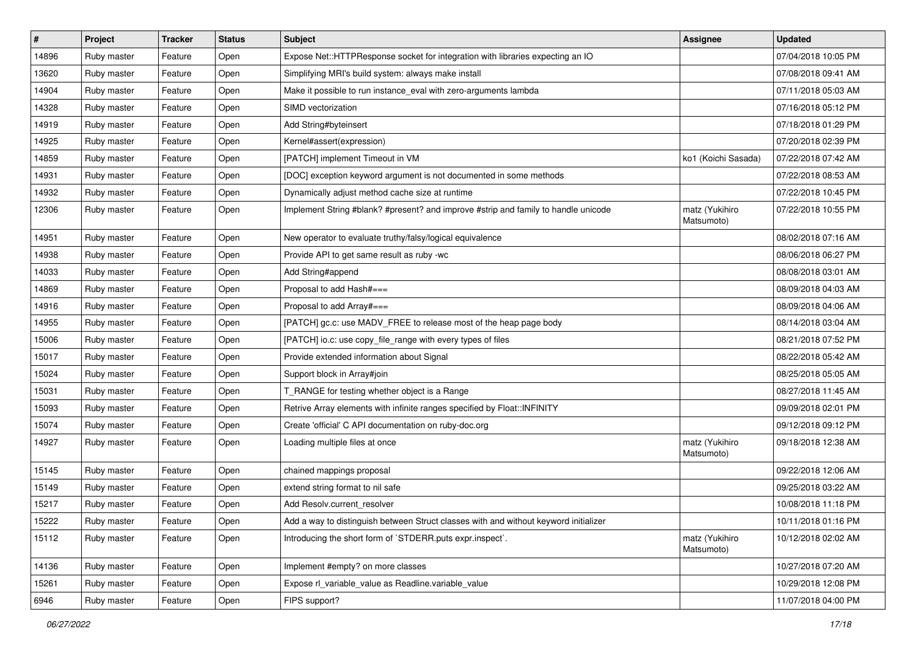| $\sharp$ | Project     | <b>Tracker</b> | <b>Status</b> | Subject                                                                              | Assignee                     | <b>Updated</b>      |
|----------|-------------|----------------|---------------|--------------------------------------------------------------------------------------|------------------------------|---------------------|
| 14896    | Ruby master | Feature        | Open          | Expose Net:: HTTPResponse socket for integration with libraries expecting an IO      |                              | 07/04/2018 10:05 PM |
| 13620    | Ruby master | Feature        | Open          | Simplifying MRI's build system: always make install                                  |                              | 07/08/2018 09:41 AM |
| 14904    | Ruby master | Feature        | Open          | Make it possible to run instance_eval with zero-arguments lambda                     |                              | 07/11/2018 05:03 AM |
| 14328    | Ruby master | Feature        | Open          | SIMD vectorization                                                                   |                              | 07/16/2018 05:12 PM |
| 14919    | Ruby master | Feature        | Open          | Add String#byteinsert                                                                |                              | 07/18/2018 01:29 PM |
| 14925    | Ruby master | Feature        | Open          | Kernel#assert(expression)                                                            |                              | 07/20/2018 02:39 PM |
| 14859    | Ruby master | Feature        | Open          | [PATCH] implement Timeout in VM                                                      | ko1 (Koichi Sasada)          | 07/22/2018 07:42 AM |
| 14931    | Ruby master | Feature        | Open          | [DOC] exception keyword argument is not documented in some methods                   |                              | 07/22/2018 08:53 AM |
| 14932    | Ruby master | Feature        | Open          | Dynamically adjust method cache size at runtime                                      |                              | 07/22/2018 10:45 PM |
| 12306    | Ruby master | Feature        | Open          | Implement String #blank? #present? and improve #strip and family to handle unicode   | matz (Yukihiro<br>Matsumoto) | 07/22/2018 10:55 PM |
| 14951    | Ruby master | Feature        | Open          | New operator to evaluate truthy/falsy/logical equivalence                            |                              | 08/02/2018 07:16 AM |
| 14938    | Ruby master | Feature        | Open          | Provide API to get same result as ruby -wc                                           |                              | 08/06/2018 06:27 PM |
| 14033    | Ruby master | Feature        | Open          | Add String#append                                                                    |                              | 08/08/2018 03:01 AM |
| 14869    | Ruby master | Feature        | Open          | Proposal to add Hash#===                                                             |                              | 08/09/2018 04:03 AM |
| 14916    | Ruby master | Feature        | Open          | Proposal to add Array#===                                                            |                              | 08/09/2018 04:06 AM |
| 14955    | Ruby master | Feature        | Open          | [PATCH] gc.c: use MADV_FREE to release most of the heap page body                    |                              | 08/14/2018 03:04 AM |
| 15006    | Ruby master | Feature        | Open          | [PATCH] io.c: use copy_file_range with every types of files                          |                              | 08/21/2018 07:52 PM |
| 15017    | Ruby master | Feature        | Open          | Provide extended information about Signal                                            |                              | 08/22/2018 05:42 AM |
| 15024    | Ruby master | Feature        | Open          | Support block in Array#join                                                          |                              | 08/25/2018 05:05 AM |
| 15031    | Ruby master | Feature        | Open          | T_RANGE for testing whether object is a Range                                        |                              | 08/27/2018 11:45 AM |
| 15093    | Ruby master | Feature        | Open          | Retrive Array elements with infinite ranges specified by Float::INFINITY             |                              | 09/09/2018 02:01 PM |
| 15074    | Ruby master | Feature        | Open          | Create 'official' C API documentation on ruby-doc.org                                |                              | 09/12/2018 09:12 PM |
| 14927    | Ruby master | Feature        | Open          | Loading multiple files at once                                                       | matz (Yukihiro<br>Matsumoto) | 09/18/2018 12:38 AM |
| 15145    | Ruby master | Feature        | Open          | chained mappings proposal                                                            |                              | 09/22/2018 12:06 AM |
| 15149    | Ruby master | Feature        | Open          | extend string format to nil safe                                                     |                              | 09/25/2018 03:22 AM |
| 15217    | Ruby master | Feature        | Open          | Add Resolv.current resolver                                                          |                              | 10/08/2018 11:18 PM |
| 15222    | Ruby master | Feature        | Open          | Add a way to distinguish between Struct classes with and without keyword initializer |                              | 10/11/2018 01:16 PM |
| 15112    | Ruby master | Feature        | Open          | Introducing the short form of `STDERR.puts expr.inspect`.                            | matz (Yukihiro<br>Matsumoto) | 10/12/2018 02:02 AM |
| 14136    | Ruby master | Feature        | Open          | Implement #empty? on more classes                                                    |                              | 10/27/2018 07:20 AM |
| 15261    | Ruby master | Feature        | Open          | Expose rl_variable_value as Readline.variable_value                                  |                              | 10/29/2018 12:08 PM |
| 6946     | Ruby master | Feature        | Open          | FIPS support?                                                                        |                              | 11/07/2018 04:00 PM |